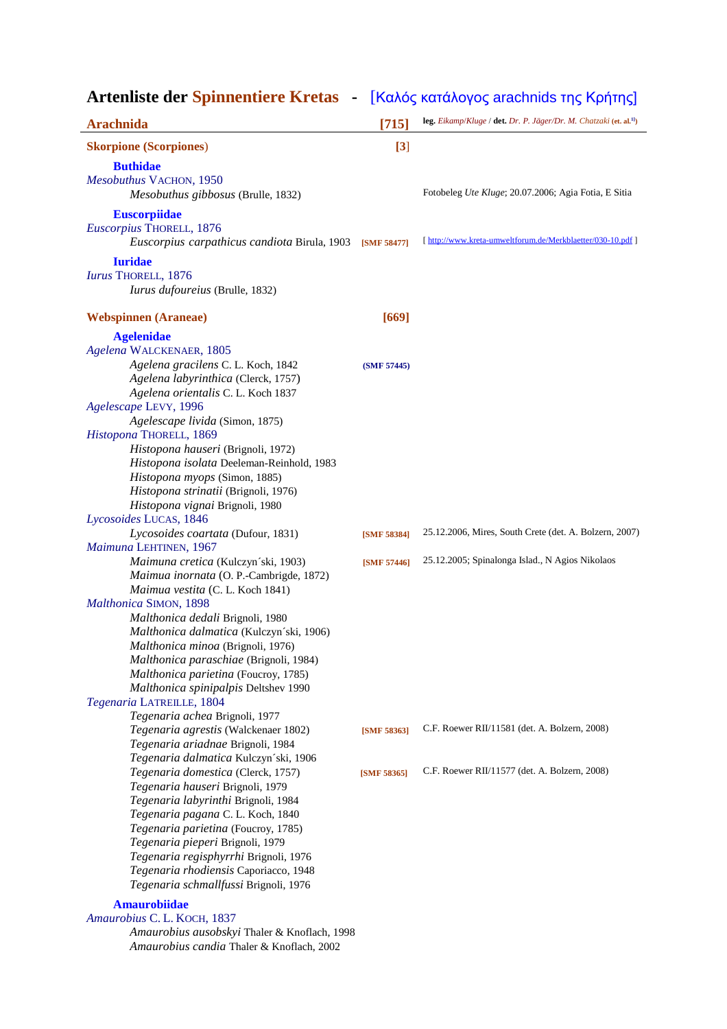| Artenliste der Spinnentiere Kretas - [Καλός κατάλογος arachnids της Κρήτης] |             |                                                                                |
|-----------------------------------------------------------------------------|-------------|--------------------------------------------------------------------------------|
| <b>Arachnida</b>                                                            | [715]       | leg. Eikamp/Kluge / det. Dr. P. Jäger/Dr. M. Chatzaki (et. al. <sup>11</sup> ) |
| <b>Skorpione (Scorpiones)</b>                                               | [3]         |                                                                                |
| <b>Buthidae</b>                                                             |             |                                                                                |
| Mesobuthus VACHON, 1950<br>Mesobuthus gibbosus (Brulle, 1832)               |             | Fotobeleg Ute Kluge; 20.07.2006; Agia Fotia, E Sitia                           |
| <b>Euscorpiidae</b><br>Euscorpius THORELL, 1876                             |             |                                                                                |
| Euscorpius carpathicus candiota Birula, 1903                                | [SMF 58477] | [ http://www.kreta-umweltforum.de/Merkblaetter/030-10.pdf ]                    |
| <b>Iuridae</b>                                                              |             |                                                                                |
| Iurus THORELL, 1876<br>Iurus dufoureius (Brulle, 1832)                      |             |                                                                                |
| <b>Webspinnen</b> (Araneae)                                                 | $[669]$     |                                                                                |
| <b>Agelenidae</b>                                                           |             |                                                                                |
| Agelena WALCKENAER, 1805                                                    |             |                                                                                |
| Agelena gracilens C. L. Koch, 1842                                          | (SMF 57445) |                                                                                |
| Agelena labyrinthica (Clerck, 1757)                                         |             |                                                                                |
| Agelena orientalis C. L. Koch 1837<br>Agelescape LEVY, 1996                 |             |                                                                                |
| Agelescape livida (Simon, 1875)                                             |             |                                                                                |
| Histopona THORELL, 1869                                                     |             |                                                                                |
| Histopona hauseri (Brignoli, 1972)                                          |             |                                                                                |
| Histopona isolata Deeleman-Reinhold, 1983                                   |             |                                                                                |
| Histopona myops (Simon, 1885)                                               |             |                                                                                |
| Histopona strinatii (Brignoli, 1976)                                        |             |                                                                                |
| Histopona vignai Brignoli, 1980                                             |             |                                                                                |
| Lycosoides LUCAS, 1846                                                      |             |                                                                                |
| Lycosoides coartata (Dufour, 1831)                                          | [SMF 58384] | 25.12.2006, Mires, South Crete (det. A. Bolzern, 2007)                         |
| Maimuna LEHTINEN, 1967<br>Maimuna cretica (Kulczyn'ski, 1903)               | [SMF 57446] | 25.12.2005; Spinalonga Islad., N Agios Nikolaos                                |
| Maimua inornata (O. P.-Cambrigde, 1872)                                     |             |                                                                                |
| Maimua vestita (C. L. Koch 1841)                                            |             |                                                                                |
| Malthonica SIMON, 1898                                                      |             |                                                                                |
| Malthonica dedali Brignoli, 1980                                            |             |                                                                                |
| <i>Malthonica dalmatica</i> (Kulczyn'ski, 1906)                             |             |                                                                                |
| Malthonica minoa (Brignoli, 1976)                                           |             |                                                                                |
| Malthonica paraschiae (Brignoli, 1984)                                      |             |                                                                                |
| Malthonica parietina (Foucroy, 1785)                                        |             |                                                                                |
| Malthonica spinipalpis Deltshev 1990                                        |             |                                                                                |
| Tegenaria LATREILLE, 1804                                                   |             |                                                                                |
| Tegenaria achea Brignoli, 1977<br>Tegenaria agrestis (Walckenaer 1802)      | [SMF 58363] | C.F. Roewer RII/11581 (det. A. Bolzern, 2008)                                  |
| Tegenaria ariadnae Brignoli, 1984                                           |             |                                                                                |
| Tegenaria dalmatica Kulczyn'ski, 1906                                       |             |                                                                                |
| Tegenaria domestica (Clerck, 1757)                                          | [SMF 58365] | C.F. Roewer RII/11577 (det. A. Bolzern, 2008)                                  |
| Tegenaria hauseri Brignoli, 1979                                            |             |                                                                                |
| Tegenaria labyrinthi Brignoli, 1984                                         |             |                                                                                |
| Tegenaria pagana C. L. Koch, 1840                                           |             |                                                                                |
| Tegenaria parietina (Foucroy, 1785)                                         |             |                                                                                |
| Tegenaria pieperi Brignoli, 1979                                            |             |                                                                                |
| Tegenaria regisphyrrhi Brignoli, 1976                                       |             |                                                                                |
| Tegenaria rhodiensis Caporiacco, 1948                                       |             |                                                                                |
| Tegenaria schmallfussi Brignoli, 1976                                       |             |                                                                                |
| <b>Amaurobiidae</b>                                                         |             |                                                                                |
| Amaurobius C. L. KOCH, 1837                                                 |             |                                                                                |
| Amaurobius ausobskyi Thaler & Knoflach, 1998                                |             |                                                                                |

 *Amaurobius candia* Thaler & Knoflach, 2002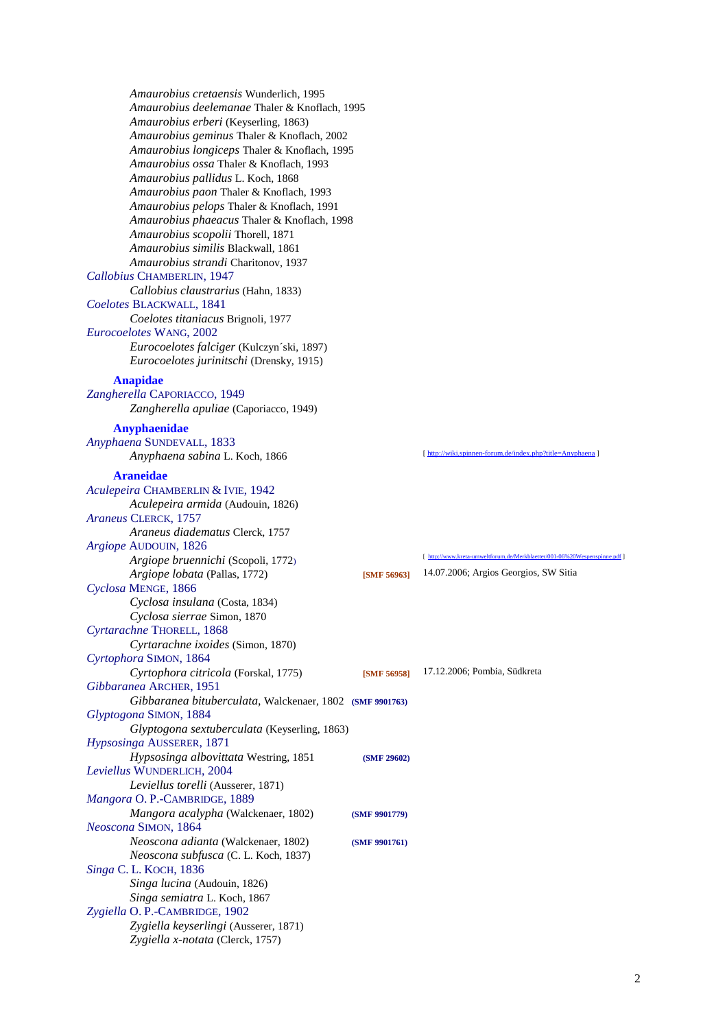*Amaurobius cretaensis* Wunderlich, 1995  *Amaurobius deelemanae* Thaler & Knoflach, 1995  *Amaurobius erberi* (Keyserling, 1863)  *Amaurobius geminus* Thaler & Knoflach, 2002  *Amaurobius longiceps* Thaler & Knoflach, 1995  *Amaurobius ossa* Thaler & Knoflach, 1993  *Amaurobius pallidus* L. Koch, 1868  *Amaurobius paon* Thaler & Knoflach, 1993  *Amaurobius pelops* Thaler & Knoflach, 1991  *Amaurobius phaeacus* Thaler & Knoflach, 1998  *Amaurobius scopolii* Thorell, 1871  *Amaurobius similis* Blackwall, 1861  *Amaurobius strandi* Charitonov, 1937 *Callobius* CHAMBERLIN, 1947  *Callobius claustrarius* (Hahn, 1833) *Coelotes* BLACKWALL, 1841  *Coelotes titaniacus* Brignoli, 1977 *Eurocoelotes* WANG, 2002  *Eurocoelotes falciger* (Kulczyn´ski, 1897)  *Eurocoelotes jurinitschi* (Drensky, 1915) **Anapidae**  *Zangherella* CAPORIACCO, 1949  *Zangherella apuliae* (Caporiacco, 1949) **Anyphaenidae**  *Anyphaena* SUNDEVALL, 1833 *Anyphaena sabina* L. Koch, 1866 [ http://wiki.spinnen-forum.de/index.php?title=Anyph **Araneidae**  *Aculepeira* CHAMBERLIN & IVIE, 1942  *Aculepeira armida* (Audouin, 1826) *Araneus* CLERCK, 1757  *Araneus diadematus* Clerck, 1757 *Argiope* AUDOUIN, 1826  *Argiope bruennichi* (Scopoli, 1772) [ http://www.kreta-umweltforum.de/Merkblaetter/001-06%20Wespenspinne.pdf ]  *Argiope lobata* (Pallas, 1772) **[SMF 56963]** 14.07.2006; Argios Georgios, SW Sitia *Cyclosa* MENGE, 1866  *Cyclosa insulana* (Costa, 1834)  *Cyclosa sierrae* Simon, 1870 *Cyrtarachne* THORELL, 1868  *Cyrtarachne ixoides* (Simon, 1870) *Cyrtophora* SIMON, 1864  *Cyrtophora citricola* (Forskal, 1775) **[SMF 56958]** 17.12.2006; Pombia, Südkreta *Gibbaranea* ARCHER, 1951  *Gibbaranea bituberculata,* Walckenaer, 1802 **(SMF 9901763)** *Glyptogona* SIMON, 1884  *Glyptogona sextuberculata* (Keyserling, 1863) *Hypsosinga* AUSSERER, 1871  *Hypsosinga albovittata* Westring, 1851 **(SMF 29602)** *Leviellus* WUNDERLICH, 2004  *Leviellus torelli* (Ausserer, 1871) *Mangora* O. P.-CAMBRIDGE, 1889  *Mangora acalypha* (Walckenaer, 1802) **(SMF 9901779)** *Neoscona* SIMON, 1864  *Neoscona adianta* (Walckenaer, 1802) **(SMF 9901761)**  *Neoscona subfusca* (C. L. Koch, 1837) *Singa* C. L. KOCH, 1836  *Singa lucina* (Audouin, 1826)  *Singa semiatra* L. Koch, 1867 *Zygiella* O. P.-CAMBRIDGE, 1902  *Zygiella keyserlingi* (Ausserer, 1871)  *Zygiella x-notata* (Clerck, 1757)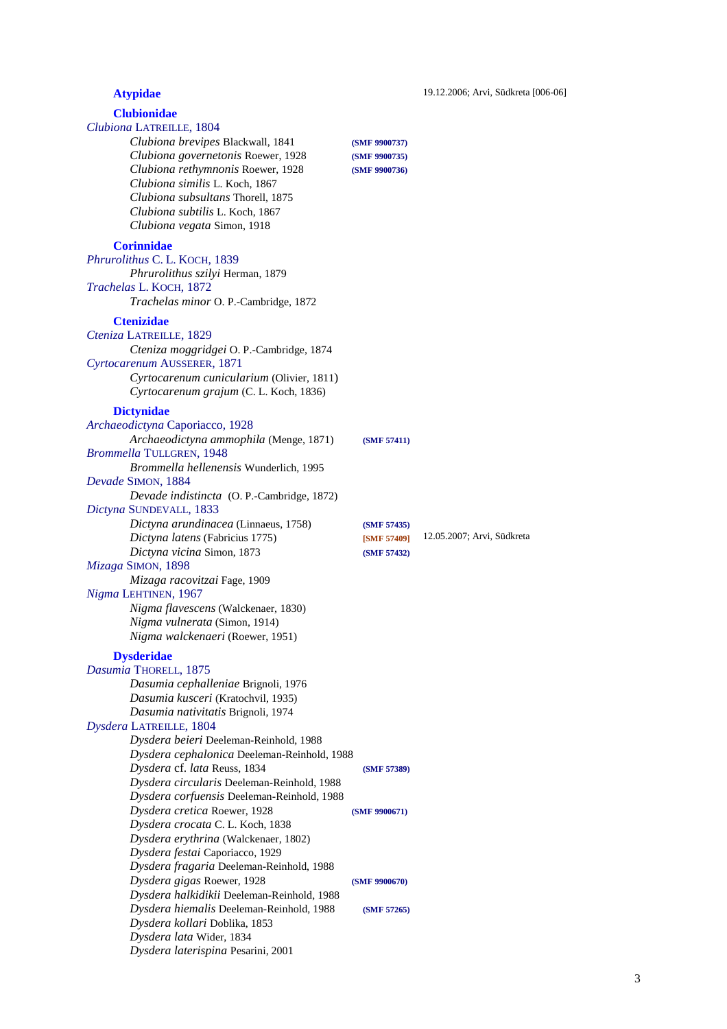# **Atypidae** 19.12.2006; Arvi, Südkreta [006-06] **Clubionidae**  *Clubiona* LATREILLE, 1804  *Clubiona brevipes* Blackwall, 1841 **(SMF 9900737)**  *Clubiona governetonis* Roewer, 1928 **(SMF 9900735)**  *Clubiona rethymnonis* Roewer, 1928 **(SMF 9900736)**  *Clubiona similis* L. Koch, 1867  *Clubiona subsultans* Thorell, 1875  *Clubiona subtilis* L. Koch, 1867  *Clubiona vegata* Simon, 1918 **Corinnidae**  *Phrurolithus* C. L. KOCH, 1839  *Phrurolithus szilyi* Herman, 1879 *Trachelas* L. KOCH, 1872  *Trachelas minor* O. P.-Cambridge, 1872 **Ctenizidae**  *Cteniza* LATREILLE, 1829  *Cteniza moggridgei* O. P.-Cambridge, 1874 *Cyrtocarenum* AUSSERER, 1871  *Cyrtocarenum cunicularium* (Olivier, 1811)  *Cyrtocarenum grajum* (C. L. Koch, 1836) **Dictynidae**  *Archaeodictyna* Caporiacco, 1928  *Archaeodictyna ammophila* (Menge, 1871) **(SMF 57411)** *Brommella* TULLGREN, 1948  *Brommella hellenensis* Wunderlich, 1995 *Devade* SIMON, 1884  *Devade indistincta* (O. P.-Cambridge, 1872) *Dictyna* SUNDEVALL, 1833  *Dictyna arundinacea* (Linnaeus, 1758) **(SMF 57435)**  *Dictyna latens* (Fabricius 1775) **[SMF 57409]** 12.05.2007; Arvi, Südkreta  *Dictyna vicina* Simon, 1873 **(SMF 57432)** *Mizaga* SIMON, 1898  *Mizaga racovitzai* Fage, 1909 *Nigma* LEHTINEN, 1967  *Nigma flavescens* (Walckenaer, 1830)  *Nigma vulnerata* (Simon, 1914)  *Nigma walckenaeri* (Roewer, 1951) **Dysderidae** *Dasumia* THORELL, 1875  *Dasumia cephalleniae* Brignoli, 1976  *Dasumia kusceri* (Kratochvil, 1935)  *Dasumia nativitatis* Brignoli, 1974 *Dysdera* LATREILLE, 1804  *Dysdera beieri* Deeleman-Reinhold, 1988  *Dysdera cephalonica* Deeleman-Reinhold, 1988  *Dysdera* cf. *lata* Reuss, 1834 **(SMF 57389)**  *Dysdera circularis* Deeleman-Reinhold, 1988  *Dysdera corfuensis* Deeleman-Reinhold, 1988  *Dysdera cretica* Roewer, 1928 **(SMF 9900671)**  *Dysdera crocata* C. L. Koch, 1838  *Dysdera erythrina* (Walckenaer, 1802)  *Dysdera festai* Caporiacco, 1929  *Dysdera fragaria* Deeleman-Reinhold, 1988  *Dysdera gigas* Roewer, 1928 **(SMF 9900670)**  *Dysdera halkidikii* Deeleman-Reinhold, 1988  *Dysdera hiemalis* Deeleman-Reinhold, 1988 **(SMF 57265)**  *Dysdera kollari* Doblika, 1853  *Dysdera lata* Wider, 1834  *Dysdera laterispina* Pesarini, 2001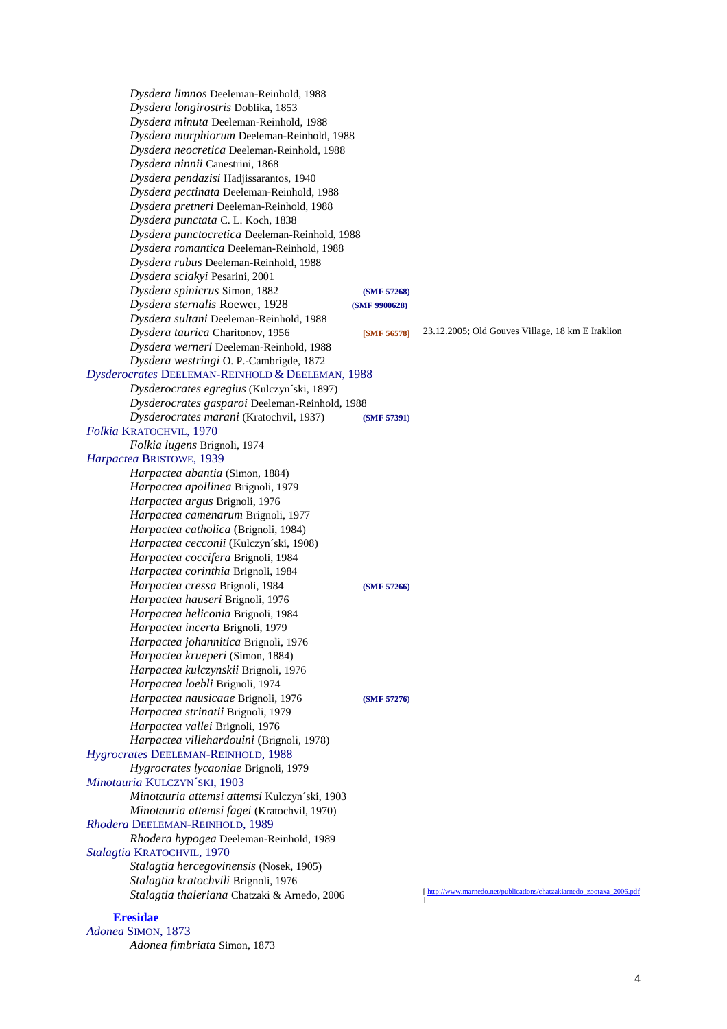*Dysdera limnos* Deeleman-Reinhold, 1988  *Dysdera longirostris* Doblika, 1853  *Dysdera minuta* Deeleman-Reinhold, 1988  *Dysdera murphiorum* Deeleman-Reinhold, 1988  *Dysdera neocretica* Deeleman-Reinhold, 1988  *Dysdera ninnii* Canestrini, 1868  *Dysdera pendazisi* Hadjissarantos, 1940  *Dysdera pectinata* Deeleman-Reinhold, 1988  *Dysdera pretneri* Deeleman-Reinhold, 1988  *Dysdera punctata* C. L. Koch, 1838  *Dysdera punctocretica* Deeleman-Reinhold, 1988  *Dysdera romantica* Deeleman-Reinhold, 1988  *Dysdera rubus* Deeleman-Reinhold, 1988  *Dysdera sciakyi* Pesarini, 2001  *Dysdera spinicrus* Simon, 1882 **(SMF 57268)**  *Dysdera sternalis* Roewer, 1928 **(SMF 9900628)**  *Dysdera sultani* Deeleman-Reinhold, 1988 *Dysdera taurica* Charitonov, 1956 **[SMF 56578]** 23.12.2005; Old Gouves Village, 18 km E Iraklion  *Dysdera werneri* Deeleman-Reinhold, 1988  *Dysdera westringi* O. P.-Cambrigde, 1872 *Dysderocrates* DEELEMAN-REINHOLD & DEELEMAN, 1988  *Dysderocrates egregius* (Kulczyn´ski, 1897)  *Dysderocrates gasparoi* Deeleman-Reinhold, 1988  *Dysderocrates marani* (Kratochvil, 1937) **(SMF 57391)** *Folkia* KRATOCHVIL, 1970  *Folkia lugens* Brignoli, 1974 *Harpactea* BRISTOWE, 1939  *Harpactea abantia* (Simon, 1884)  *Harpactea apollinea* Brignoli, 1979  *Harpactea argus* Brignoli, 1976  *Harpactea camenarum* Brignoli, 1977  *Harpactea catholica* (Brignoli, 1984)  *Harpactea cecconii* (Kulczyn´ski, 1908)  *Harpactea coccifera* Brignoli, 1984  *Harpactea corinthia* Brignoli, 1984  *Harpactea cressa* Brignoli, 1984 **(SMF 57266)**  *Harpactea hauseri* Brignoli, 1976  *Harpactea heliconia* Brignoli, 1984  *Harpactea incerta* Brignoli, 1979  *Harpactea johannitica* Brignoli, 1976  *Harpactea krueperi* (Simon, 1884)  *Harpactea kulczynskii* Brignoli, 1976  *Harpactea loebli* Brignoli, 1974  *Harpactea nausicaae* Brignoli, 1976 **(SMF 57276)**  *Harpactea strinatii* Brignoli, 1979  *Harpactea vallei* Brignoli, 1976  *Harpactea villehardouini* (Brignoli, 1978) *Hygrocrates* DEELEMAN-REINHOLD, 1988  *Hygrocrates lycaoniae* Brignoli, 1979 *Minotauria* KULCZYN´SKI, 1903  *Minotauria attemsi attemsi* Kulczyn´ski, 1903  *Minotauria attemsi fagei* (Kratochvil, 1970) *Rhodera* DEELEMAN-REINHOLD, 1989  *Rhodera hypogea* Deeleman-Reinhold, 1989 *Stalagtia* KRATOCHVIL, 1970  *Stalagtia hercegovinensis* (Nosek, 1905)  *Stalagtia kratochvili* Brignoli, 1976 *Stalagtia thaleriana* Chatzaki & Arnedo, 2006 ] **Eresidae**

*Adonea* SIMON, 1873  *Adonea fimbriata* Simon, 1873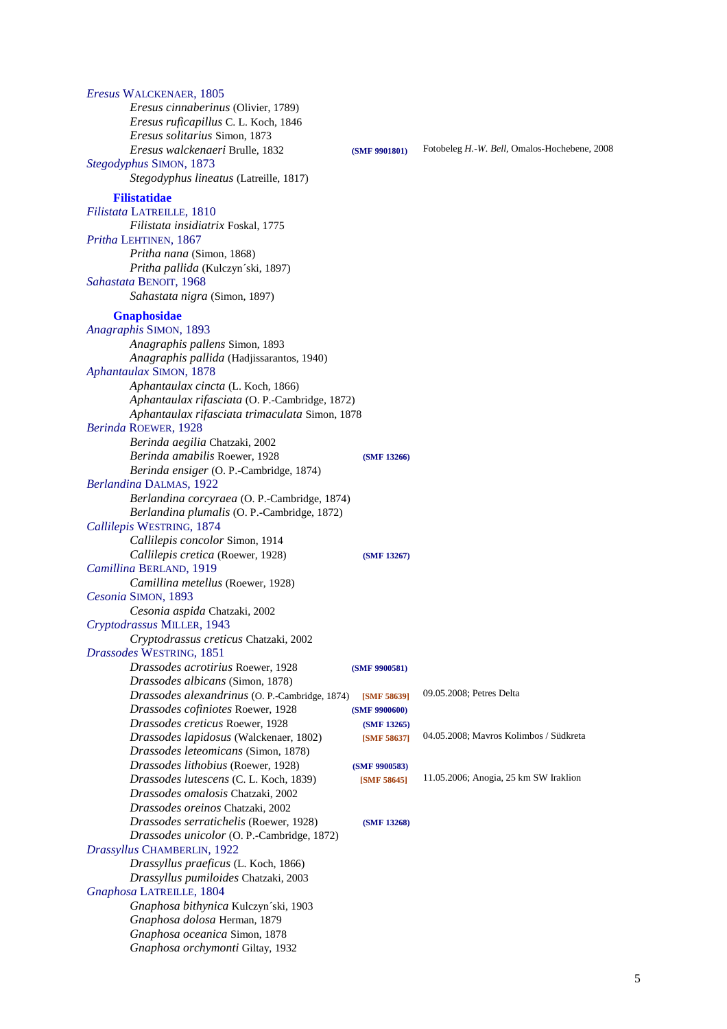| Eresus WALCKENAER, 1805                        |               |                                              |
|------------------------------------------------|---------------|----------------------------------------------|
| Eresus cinnaberinus (Olivier, 1789)            |               |                                              |
| Eresus ruficapillus C. L. Koch, 1846           |               |                                              |
| Eresus solitarius Simon, 1873                  |               |                                              |
| Eresus walckenaeri Brulle, 1832                | (SMF 9901801) | Fotobeleg H.-W. Bell, Omalos-Hochebene, 2008 |
| Stegodyphus SIMON, 1873                        |               |                                              |
| Stegodyphus lineatus (Latreille, 1817)         |               |                                              |
|                                                |               |                                              |
| <b>Filistatidae</b>                            |               |                                              |
| Filistata LATREILLE, 1810                      |               |                                              |
| Filistata insidiatrix Foskal, 1775             |               |                                              |
| Pritha LEHTINEN, 1867                          |               |                                              |
| Pritha nana (Simon, 1868)                      |               |                                              |
| Pritha pallida (Kulczyn'ski, 1897)             |               |                                              |
| Sahastata BENOIT, 1968                         |               |                                              |
| Sahastata nigra (Simon, 1897)                  |               |                                              |
| <b>Gnaphosidae</b>                             |               |                                              |
| Anagraphis SIMON, 1893                         |               |                                              |
| Anagraphis pallens Simon, 1893                 |               |                                              |
| Anagraphis pallida (Hadjissarantos, 1940)      |               |                                              |
| Aphantaulax SIMON, 1878                        |               |                                              |
| Aphantaulax cincta (L. Koch, 1866)             |               |                                              |
| Aphantaulax rifasciata (O. P.-Cambridge, 1872) |               |                                              |
| Aphantaulax rifasciata trimaculata Simon, 1878 |               |                                              |
| Berinda ROEWER, 1928                           |               |                                              |
| Berinda aegilia Chatzaki, 2002                 |               |                                              |
| Berinda amabilis Roewer, 1928                  | (SMF 13266)   |                                              |
| Berinda ensiger (O. P.-Cambridge, 1874)        |               |                                              |
| Berlandina DALMAS, 1922                        |               |                                              |
| Berlandina corcyraea (O. P.-Cambridge, 1874)   |               |                                              |
| Berlandina plumalis (O. P.-Cambridge, 1872)    |               |                                              |
| Callilepis WESTRING, 1874                      |               |                                              |
| Callilepis concolor Simon, 1914                |               |                                              |
| Callilepis cretica (Roewer, 1928)              | (SMF 13267)   |                                              |
| Camillina BERLAND, 1919                        |               |                                              |
| Camillina metellus (Roewer, 1928)              |               |                                              |
| Cesonia SIMON, 1893                            |               |                                              |
| Cesonia aspida Chatzaki, 2002                  |               |                                              |
| Cryptodrassus MILLER, 1943                     |               |                                              |
| Cryptodrassus creticus Chatzaki, 2002          |               |                                              |
| Drassodes WESTRING, 1851                       |               |                                              |
| Drassodes acrotirius Roewer, 1928              |               |                                              |
| Drassodes albicans (Simon, 1878)               | (SMF 9900581) |                                              |
| Drassodes alexandrinus (O. P.-Cambridge, 1874) | [SMF 58639]   | 09.05.2008; Petres Delta                     |
| Drassodes cofiniotes Roewer, 1928              |               |                                              |
| Drassodes creticus Roewer, 1928                | (SMF 9900600) |                                              |
| Drassodes lapidosus (Walckenaer, 1802)         | (SMF 13265)   | 04.05.2008; Mavros Kolimbos / Südkreta       |
|                                                | [SMF 58637]   |                                              |
| Drassodes leteomicans (Simon, 1878)            |               |                                              |
| Drassodes lithobius (Roewer, 1928)             | (SMF 9900583) | 11.05.2006; Anogia, 25 km SW Iraklion        |
| Drassodes lutescens (C. L. Koch, 1839)         | [SMF 58645]   |                                              |
| Drassodes omalosis Chatzaki, 2002              |               |                                              |
| Drassodes oreinos Chatzaki, 2002               |               |                                              |
| Drassodes serratichelis (Roewer, 1928)         | (SMF 13268)   |                                              |
| Drassodes unicolor (O. P.-Cambridge, 1872)     |               |                                              |
| Drassyllus CHAMBERLIN, 1922                    |               |                                              |
| Drassyllus praeficus (L. Koch, 1866)           |               |                                              |
| Drassyllus pumiloides Chatzaki, 2003           |               |                                              |
| Gnaphosa LATREILLE, 1804                       |               |                                              |
| Gnaphosa bithynica Kulczyn'ski, 1903           |               |                                              |
| Gnaphosa dolosa Herman, 1879                   |               |                                              |
| Gnaphosa oceanica Simon, 1878                  |               |                                              |
| Gnaphosa orchymonti Giltay, 1932               |               |                                              |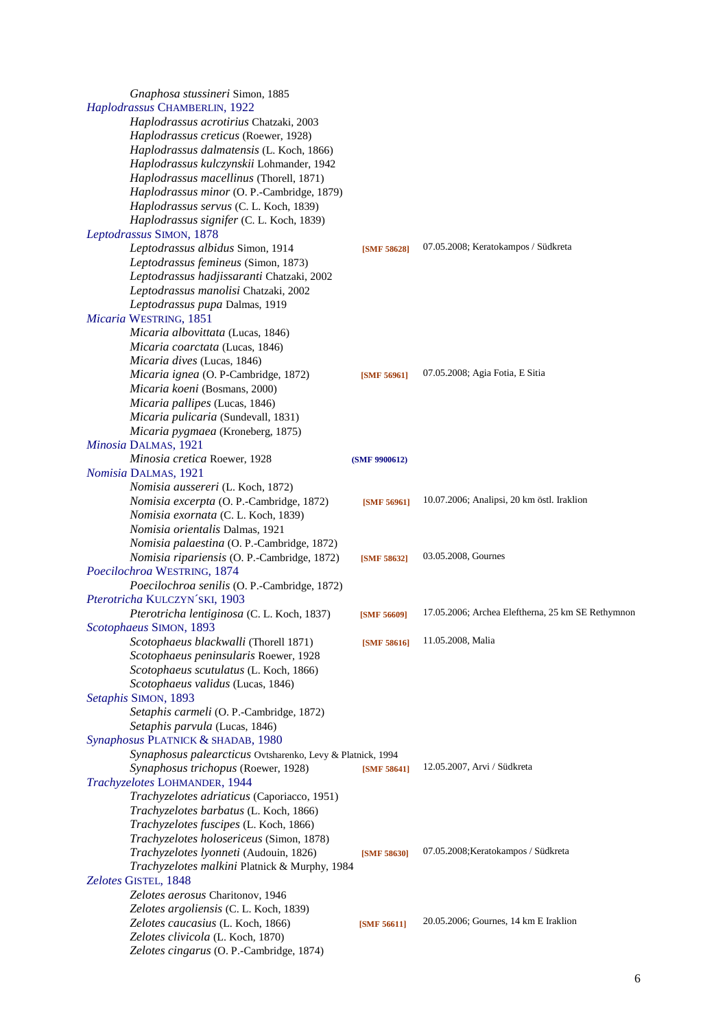| Gnaphosa stussineri Simon, 1885                            |                    |                                                   |
|------------------------------------------------------------|--------------------|---------------------------------------------------|
| Haplodrassus CHAMBERLIN, 1922                              |                    |                                                   |
| Haplodrassus acrotirius Chatzaki, 2003                     |                    |                                                   |
| Haplodrassus creticus (Roewer, 1928)                       |                    |                                                   |
| Haplodrassus dalmatensis (L. Koch, 1866)                   |                    |                                                   |
| Haplodrassus kulczynskii Lohmander, 1942                   |                    |                                                   |
| Haplodrassus macellinus (Thorell, 1871)                    |                    |                                                   |
| Haplodrassus minor (O. P.-Cambridge, 1879)                 |                    |                                                   |
| Haplodrassus servus (C. L. Koch, 1839)                     |                    |                                                   |
| Haplodrassus signifer (C. L. Koch, 1839)                   |                    |                                                   |
|                                                            |                    |                                                   |
| Leptodrassus SIMON, 1878                                   |                    | 07.05.2008; Keratokampos / Südkreta               |
| Leptodrassus albidus Simon, 1914                           | <b>[SMF 58628]</b> |                                                   |
| Leptodrassus femineus (Simon, 1873)                        |                    |                                                   |
| Leptodrassus hadjissaranti Chatzaki, 2002                  |                    |                                                   |
| Leptodrassus manolisi Chatzaki, 2002                       |                    |                                                   |
| Leptodrassus pupa Dalmas, 1919                             |                    |                                                   |
| Micaria WESTRING, 1851                                     |                    |                                                   |
| Micaria albovittata (Lucas, 1846)                          |                    |                                                   |
| Micaria coarctata (Lucas, 1846)                            |                    |                                                   |
| Micaria dives (Lucas, 1846)                                |                    |                                                   |
| Micaria ignea (O. P-Cambridge, 1872)                       | [SMF 56961]        | 07.05.2008; Agia Fotia, E Sitia                   |
| Micaria koeni (Bosmans, 2000)                              |                    |                                                   |
| Micaria pallipes (Lucas, 1846)                             |                    |                                                   |
| Micaria pulicaria (Sundevall, 1831)                        |                    |                                                   |
| Micaria pygmaea (Kroneberg, 1875)                          |                    |                                                   |
| Minosia DALMAS, 1921                                       |                    |                                                   |
| Minosia cretica Roewer, 1928                               | (SMF 9900612)      |                                                   |
| Nomisia DALMAS, 1921                                       |                    |                                                   |
| Nomisia aussereri (L. Koch, 1872)                          |                    |                                                   |
| Nomisia excerpta (O. P.-Cambridge, 1872)                   | [SMF 56961]        | 10.07.2006; Analipsi, 20 km östl. Iraklion        |
| Nomisia exornata (C. L. Koch, 1839)                        |                    |                                                   |
| Nomisia orientalis Dalmas, 1921                            |                    |                                                   |
| Nomisia palaestina (O. P.-Cambridge, 1872)                 |                    |                                                   |
| Nomisia ripariensis (O. P.-Cambridge, 1872)                | [SMF 58632]        | 03.05.2008, Gournes                               |
| Poecilochroa WESTRING, 1874                                |                    |                                                   |
| Poecilochroa senilis (O. P.-Cambridge, 1872)               |                    |                                                   |
| Pterotricha KULCZYN'SKI, 1903                              |                    |                                                   |
| Pterotricha lentiginosa (C. L. Koch, 1837)                 | [SMF 56609]        | 17.05.2006; Archea Eleftherna, 25 km SE Rethymnon |
| Scotophaeus SIMON, 1893                                    |                    |                                                   |
| Scotophaeus blackwalli (Thorell 1871)                      | [SMF 58616]        | 11.05.2008, Malia                                 |
| Scotophaeus peninsularis Roewer, 1928                      |                    |                                                   |
| Scotophaeus scutulatus (L. Koch, 1866)                     |                    |                                                   |
| Scotophaeus validus (Lucas, 1846)                          |                    |                                                   |
| Setaphis SIMON, 1893                                       |                    |                                                   |
| Setaphis carmeli (O. P.-Cambridge, 1872)                   |                    |                                                   |
| Setaphis parvula (Lucas, 1846)                             |                    |                                                   |
|                                                            |                    |                                                   |
| Synaphosus PLATNICK & SHADAB, 1980                         |                    |                                                   |
| Synaphosus palearcticus Ovtsharenko, Levy & Platnick, 1994 |                    | 12.05.2007, Arvi / Südkreta                       |
| Synaphosus trichopus (Roewer, 1928)                        | [SMF 58641]        |                                                   |
| Trachyzelotes LOHMANDER, 1944                              |                    |                                                   |
| Trachyzelotes adriaticus (Caporiacco, 1951)                |                    |                                                   |
| Trachyzelotes barbatus (L. Koch, 1866)                     |                    |                                                   |
| Trachyzelotes fuscipes (L. Koch, 1866)                     |                    |                                                   |
| Trachyzelotes holosericeus (Simon, 1878)                   |                    |                                                   |
| Trachyzelotes lyonneti (Audouin, 1826)                     | [SMF 58630]        | 07.05.2008; Keratokampos / Südkreta               |
| Trachyzelotes malkini Platnick & Murphy, 1984              |                    |                                                   |
| Zelotes GISTEL, 1848                                       |                    |                                                   |
| Zelotes aerosus Charitonov, 1946                           |                    |                                                   |
| Zelotes argoliensis (C. L. Koch, 1839)                     |                    |                                                   |
| Zelotes caucasius (L. Koch, 1866)                          | [SMF 56611]        | 20.05.2006; Gournes, 14 km E Iraklion             |
| Zelotes clivicola (L. Koch, 1870)                          |                    |                                                   |
| Zelotes cingarus (O. P.-Cambridge, 1874)                   |                    |                                                   |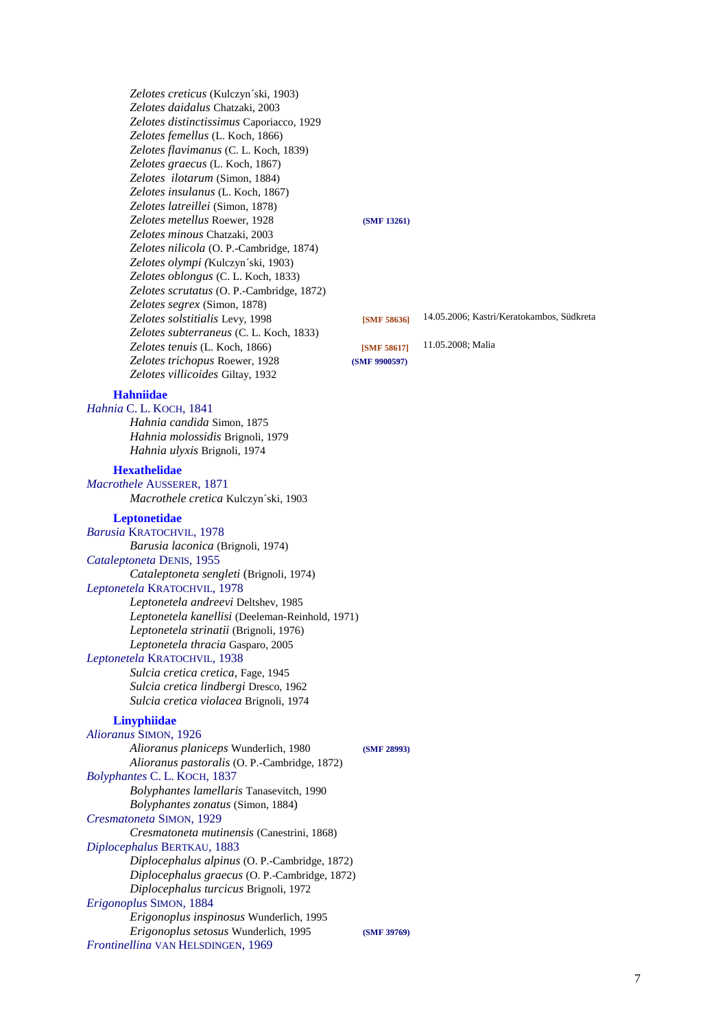*Zelotes creticus* (Kulczyn´ski, 1903)  *Zelotes daidalus* Chatzaki, 2003  *Zelotes distinctissimus* Caporiacco, 1929  *Zelotes femellus* (L. Koch, 1866)  *Zelotes flavimanus* (C. L. Koch, 1839)  *Zelotes graecus* (L. Koch, 1867)  *Zelotes ilotarum* (Simon, 1884)  *Zelotes insulanus* (L. Koch, 1867)  *Zelotes latreillei* (Simon, 1878)  *Zelotes metellus* Roewer, 1928 **(SMF 13261)**  *Zelotes minous* Chatzaki, 2003  *Zelotes nilicola* (O. P.-Cambridge, 1874)  *Zelotes olympi (*Kulczyn´ski, 1903)  *Zelotes oblongus* (C. L. Koch, 1833)  *Zelotes scrutatus* (O. P.-Cambridge, 1872)  *Zelotes segrex* (Simon, 1878)  *Zelotes solstitialis* Levy, 1998 **[SMF 58636]** 14.05.2006; Kastri/Keratokambos, Südkreta  *Zelotes subterraneus* (C. L. Koch, 1833)  *Zelotes tenuis* (L. Koch, 1866) **[SMF 58617]** 11.05.2008; Malia  *Zelotes trichopus* Roewer, 1928 **(SMF 9900597)**  *Zelotes villicoides* Giltay, 1932

# **Hahniidae**

*Hahnia* C. L. KOCH, 1841  *Hahnia candida* Simon, 1875  *Hahnia molossidis* Brignoli, 1979  *Hahnia ulyxis* Brignoli, 1974

#### **Hexathelidae**

*Macrothele* AUSSERER, 1871  *Macrothele cretica* Kulczyn´ski, 1903

# **Leptonetidae**

*Barusia* KRATOCHVIL, 1978  *Barusia laconica* (Brignoli, 1974) *Cataleptoneta* DENIS, 1955  *Cataleptoneta sengleti* (Brignoli, 1974) *Leptonetela* KRATOCHVIL, 1978  *Leptonetela andreevi* Deltshev, 1985  *Leptonetela kanellisi* (Deeleman-Reinhold, 1971)  *Leptonetela strinatii* (Brignoli, 1976)  *Leptonetela thracia* Gasparo, 2005 *Leptonetela* KRATOCHVIL, 1938

> *Sulcia cretica cretica,* Fage, 1945  *Sulcia cretica lindbergi* Dresco, 1962  *Sulcia cretica violacea* Brignoli, 1974

# **Linyphiidae**

*Alioranus* SIMON, 1926  *Alioranus planiceps* Wunderlich, 1980 **(SMF 28993)**  *Alioranus pastoralis* (O. P.-Cambridge, 1872) *Bolyphantes* C. L. KOCH, 1837  *Bolyphantes lamellaris* Tanasevitch, 1990  *Bolyphantes zonatus* (Simon, 1884) *Cresmatoneta* SIMON, 1929  *Cresmatoneta mutinensis* (Canestrini, 1868) *Diplocephalus* BERTKAU, 1883  *Diplocephalus alpinus* (O. P.-Cambridge, 1872)  *Diplocephalus graecus* (O. P.-Cambridge, 1872)  *Diplocephalus turcicus* Brignoli, 1972 *Erigonoplus* SIMON, 1884  *Erigonoplus inspinosus* Wunderlich, 1995  *Erigonoplus setosus* Wunderlich, 1995 **(SMF 39769)** *Frontinellina* VAN HELSDINGEN, 1969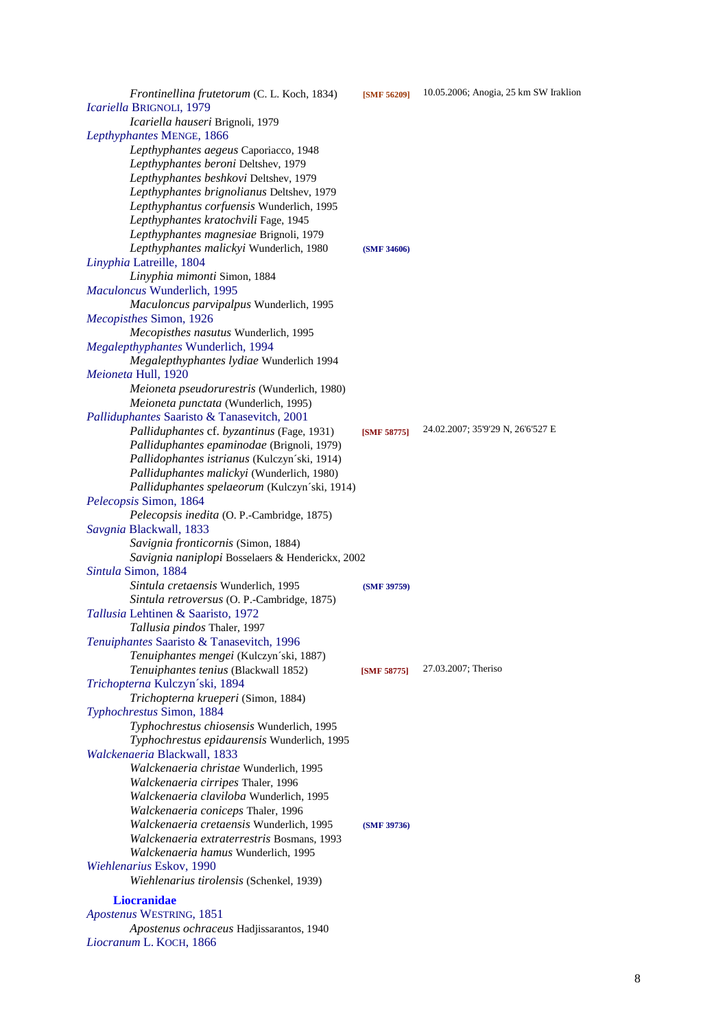*Frontinellina frutetorum* (C. L. Koch, 1834) **[SMF 56209]** 10.05.2006; Anogia, 25 km SW Iraklion *Icariella* BRIGNOLI, 1979  *Icariella hauseri* Brignoli, 1979 *Lepthyphantes* MENGE, 1866  *Lepthyphantes aegeus* Caporiacco, 1948  *Lepthyphantes beroni* Deltshev, 1979  *Lepthyphantes beshkovi* Deltshev, 1979  *Lepthyphantes brignolianus* Deltshev, 1979  *Lepthyphantus corfuensis* Wunderlich, 1995  *Lepthyphantes kratochvili* Fage, 1945  *Lepthyphantes magnesiae* Brignoli, 1979  *Lepthyphantes malickyi* Wunderlich, 1980 **(SMF 34606)** *Linyphia* Latreille, 1804  *Linyphia mimonti* Simon, 1884 *Maculoncus* Wunderlich, 1995  *Maculoncus parvipalpus* Wunderlich, 1995 *Mecopisthes* Simon, 1926  *Mecopisthes nasutus* Wunderlich, 1995 *Megalepthyphantes* Wunderlich, 1994  *Megalepthyphantes lydiae* Wunderlich 1994 *Meioneta* Hull, 1920  *Meioneta pseudorurestris* (Wunderlich, 1980)  *Meioneta punctata* (Wunderlich, 1995) *Palliduphantes* Saaristo & Tanasevitch, 2001  *Palliduphantes* cf. *byzantinus* (Fage, 1931) **[SMF 58775]** 24.02.2007; 35'9'29 N, 26'6'527 E  *Palliduphantes epaminodae* (Brignoli, 1979)  *Pallidophantes istrianus* (Kulczyn´ski, 1914)  *Palliduphantes malickyi* (Wunderlich, 1980)  *Palliduphantes spelaeorum* (Kulczyn´ski, 1914) *Pelecopsis* Simon, 1864  *Pelecopsis inedita* (O. P.-Cambridge, 1875) *Savgnia* Blackwall, 1833  *Savignia fronticornis* (Simon, 1884)  *Savignia naniplopi* Bosselaers & Henderickx, 2002 *Sintula* Simon, 1884  *Sintula cretaensis* Wunderlich, 1995 **(SMF 39759)**  *Sintula retroversus* (O. P.-Cambridge, 1875) *Tallusia* Lehtinen & Saaristo, 1972  *Tallusia pindos* Thaler, 1997 *Tenuiphantes* Saaristo & Tanasevitch, 1996  *Tenuiphantes mengei* (Kulczyn´ski, 1887)  *Tenuiphantes tenius* (Blackwall 1852) **[SMF 58775]** 27.03.2007; Theriso *Trichopterna* Kulczyn´ski, 1894  *Trichopterna krueperi* (Simon, 1884) *Typhochrestus* Simon, 1884  *Typhochrestus chiosensis* Wunderlich, 1995  *Typhochrestus epidaurensis* Wunderlich, 1995 *Walckenaeria* Blackwall, 1833  *Walckenaeria christae* Wunderlich, 1995  *Walckenaeria cirripes* Thaler, 1996  *Walckenaeria claviloba* Wunderlich, 1995  *Walckenaeria coniceps* Thaler, 1996  *Walckenaeria cretaensis* Wunderlich, 1995 **(SMF 39736)**  *Walckenaeria extraterrestris* Bosmans, 1993  *Walckenaeria hamus* Wunderlich, 1995 *Wiehlenarius* Eskov, 1990  *Wiehlenarius tirolensis* (Schenkel, 1939) **Liocranidae**  *Apostenus* WESTRING, 1851  *Apostenus ochraceus* Hadjissarantos, 1940 *Liocranum* L. KOCH, 1866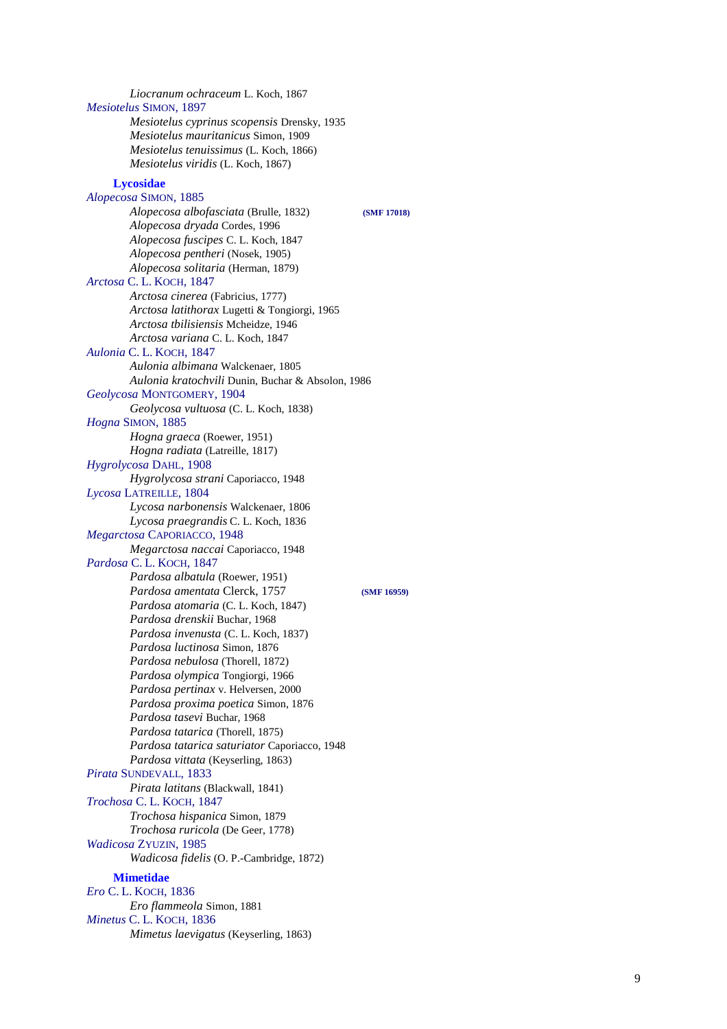*Liocranum ochraceum* L. Koch, 1867 *Mesiotelus*  SIMON, 1897  *Mesiotelus cyprinus scopensis* Drensky, 1935  *Mesiotelus mauritanicus* Simon, 1909  *Mesiotelus tenuissimus* (L. Koch, 1866)  *Mesiotelus viridis* (L. Koch, 1867) **Lycosidae**  *Alopecosa*  SIMON, 1885  *Alopecosa albofasciata* (Brulle, 1832) **(SMF 17018)**  *Alopecosa dryada* Cordes, 1996  *Alopecosa fuscipes* C. L. Koch, 1847  *Alopecosa pentheri* (Nosek, 1905)  *Alopecosa solitaria* (Herman, 1879) *Arctosa* C. L. KOCH, 1847  *Arctosa cinerea* (Fabricius, 1777)  *Arctosa latithorax* Lugetti & Tongiorgi, 1965  *Arctosa tbilisiensis* Mcheidze, 1946  *Arctosa variana* C. L. Koch, 1847 *Aulonia* C. L. KOCH, 1847  *Aulonia albimana* Walckenaer, 1805  *Aulonia kratochvili* Dunin, Buchar & Absolon, 1986 *Geolycosa*  MONTGOMERY, 1904  *Geolycosa vultuosa* (C. L. Koch, 1838) *Hogna*  SIMON, 1885  *Hogna graeca* (Roewer, 1951)  *Hogna radiata* (Latreille, 1817) *Hygrolycosa*  DAHL, 1908  *Hygrolycosa strani* Caporiacco, 1948 *Lycosa*  LATREILLE, 1804  *Lycosa narbonensis* Walckenaer, 1806  *Lycosa praegrandis* C. L. Koch, 1836 *Megarctosa*  CAPORIACCO, 1948  *Megarctosa naccai* Caporiacco, 1948 *Pardosa* C. L. KOCH, 1847  *Pardosa albatula* (Roewer, 1951)  *Pardosa amentata* Clerck, 1757 **(SMF 16959)**  *Pardosa atomaria* (C. L. Koch, 1847)  *Pardosa drenskii* Buchar, 1968  *Pardosa invenusta* (C. L. Koch, 1837)  *Pardosa luctinosa* Simon, 1876  *Pardosa nebulosa* (Thorell, 1872)  *Pardosa olympica* Tongiorgi, 1966 *Pardosa pertinax* v. Helversen, 2000  *Pardosa proxima poetica* Simon, 1876  *Pardosa tasevi* Buchar, 1968  *Pardosa tatarica* (Thorell, 1875)  *Pardosa tatarica saturiator* Caporiacco, 1948  *Pardosa vittata* (Keyserling, 1863) *Pirata*  SUNDEVALL, 1833  *Pirata latitans* (Blackwall, 1841) *Trochosa* C. L. KOCH, 1847  *Trochosa hispanica* Simon, 1879  *Trochosa ruricola* (De Geer, 1778) *Wadicosa*  ZYUZIN, 1985  *Wadicosa fidelis* (O. P.-Cambridge, 1872) **Mimetidae**  *Ero* C. L. KOCH, 1836  *Ero flammeola* Simon, 1881 *Minetus* C. L. KOCH, 1836  *Mimetus laevigatus* (Keyserling, 1863)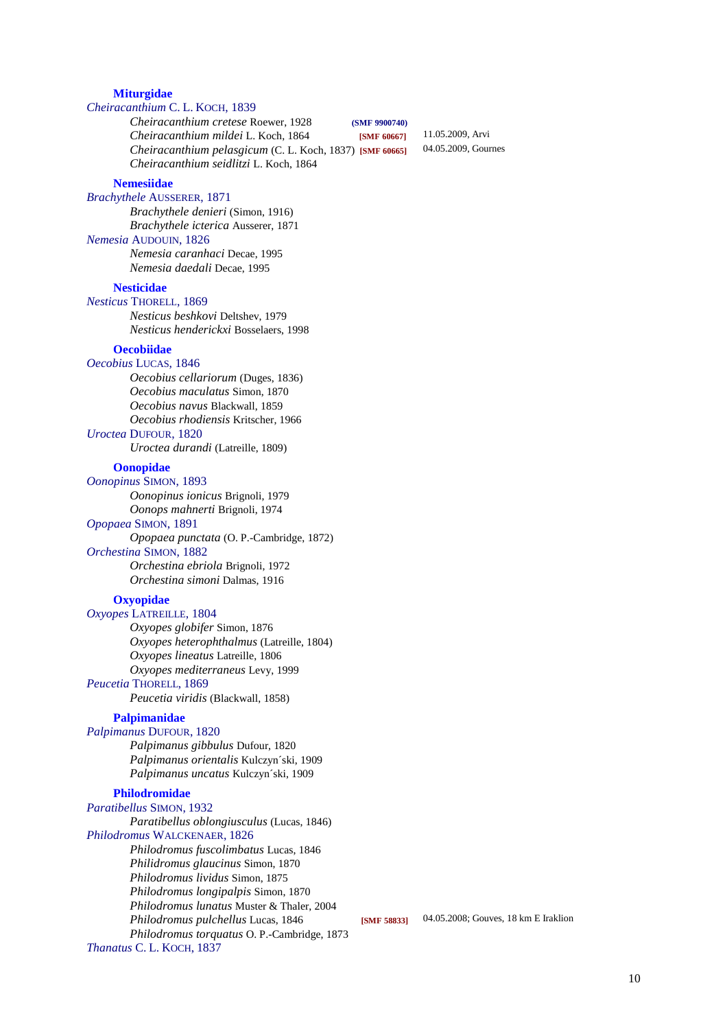#### **Miturgidae**

# *Cheiracanthium* C. L. KOCH, 1839

#### *Cheiracanthium cretese* Roewer, 1928 **(SMF 9900740)**

*Cheiracanthium mildei* L. Koch, 1864 **[SMF 60667]** 11.05.2009, Arvi<br>*Cheiracanthium nelasoicum* (C. J. Koch, 1837), **ISME 606651** 04.05.2009, Gournes *Cheiracanthium pelasgicum* (C. L. Koch, 1837) **[SMF 60665]**  *Cheiracanthium seidlitzi* L. Koch, 1864

## **Nemesiidae**

## *Brachythele* AUSSERER, 1871

 *Brachythele denieri* (Simon, 1916)  *Brachythele icterica* Ausserer, 1871 *Nemesia* AUDOUIN, 1826  *Nemesia caranhaci* Decae, 1995  *Nemesia daedali* Decae, 1995

#### **Nesticidae**

*Nesticus* THORELL, 1869

 *Nesticus beshkovi* Deltshev, 1979  *Nesticus henderickxi* Bosselaers, 1998

# **Oecobiidae**

#### *Oecobius* LUCAS, 1846

 *Oecobius cellariorum* (Duges, 1836)  *Oecobius maculatus* Simon, 1870  *Oecobius navus* Blackwall, 1859  *Oecobius rhodiensis* Kritscher, 1966 *Uroctea* DUFOUR, 1820

 *Uroctea durandi* (Latreille, 1809)

**Oonopidae** 

# *Oonopinus* SIMON, 1893

 *Oonopinus ionicus* Brignoli, 1979  *Oonops mahnerti* Brignoli, 1974 *Opopaea* SIMON, 1891  *Opopaea punctata* (O. P.-Cambridge, 1872)

#### *Orchestina* SIMON, 1882

 *Orchestina ebriola* Brignoli, 1972  *Orchestina simoni* Dalmas, 1916

# **Oxyopidae**

*Oxyopes* LATREILLE, 1804  *Oxyopes globifer* Simon, 1876  *Oxyopes heterophthalmus* (Latreille, 1804)  *Oxyopes lineatus* Latreille, 1806  *Oxyopes mediterraneus* Levy, 1999 *Peucetia* THORELL, 1869  *Peucetia viridis* (Blackwall, 1858)

#### **Palpimanidae**

### *Palpimanus* DUFOUR, 1820

 *Palpimanus gibbulus* Dufour, 1820  *Palpimanus orientalis* Kulczyn´ski, 1909  *Palpimanus uncatus* Kulczyn´ski, 1909

# **Philodromidae**

*Paratibellus* SIMON, 1932  *Paratibellus oblongiusculus* (Lucas, 1846) *Philodromus* WALCKENAER, 1826  *Philodromus fuscolimbatus* Lucas, 1846  *Philidromus glaucinus* Simon, 1870  *Philodromus lividus* Simon, 1875  *Philodromus longipalpis* Simon, 1870  *Philodromus lunatus* Muster & Thaler, 2004  *Philodromus pulchellus* Lucas, 1846 **[SMF 58833]** 04.05.2008; Gouves, 18 km E Iraklion  *Philodromus torquatus* O. P.-Cambridge, 1873 *Thanatus* C. L. KOCH, 1837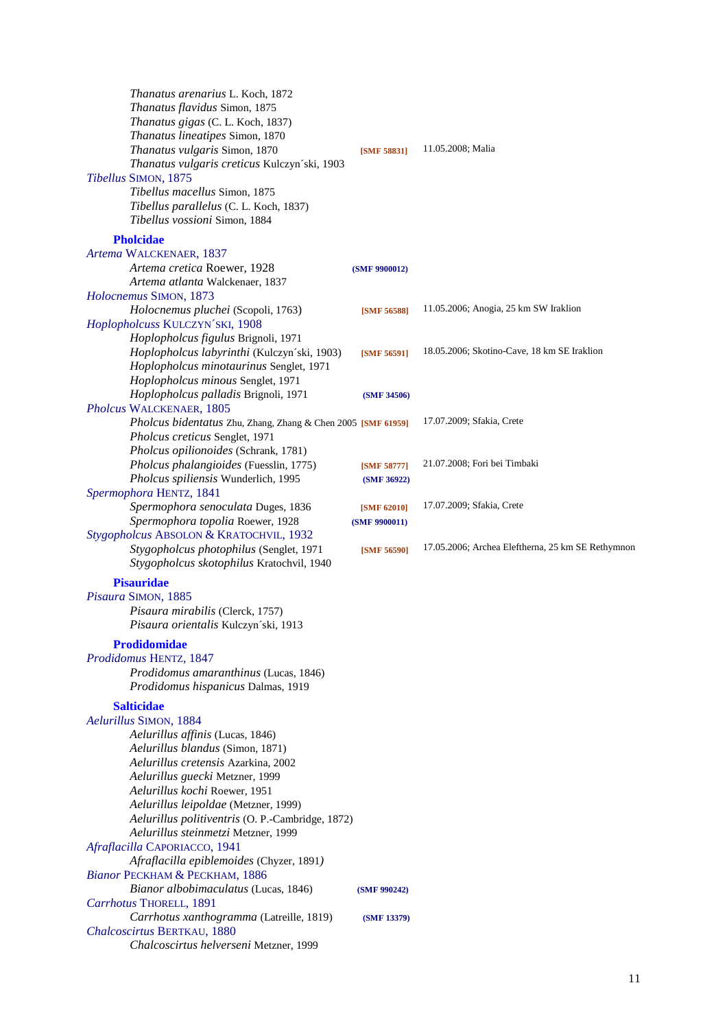| <i>Thanatus arenarius</i> L. Koch, 1872<br>Thanatus flavidus Simon, 1875<br>Thanatus gigas (C. L. Koch, 1837)<br>Thanatus lineatipes Simon, 1870                                                                  |                              |                                                   |
|-------------------------------------------------------------------------------------------------------------------------------------------------------------------------------------------------------------------|------------------------------|---------------------------------------------------|
| Thanatus vulgaris Simon, 1870<br>Thanatus vulgaris creticus Kulczyn'ski, 1903<br>Tibellus SIMON, 1875<br>Tibellus macellus Simon, 1875<br>Tibellus parallelus (C. L. Koch, 1837)<br>Tibellus vossioni Simon, 1884 | [SMF 58831]                  | 11.05.2008; Malia                                 |
| <b>Pholcidae</b>                                                                                                                                                                                                  |                              |                                                   |
| Artema WALCKENAER, 1837<br>Artema cretica Roewer, 1928                                                                                                                                                            | (SMF 9900012)                |                                                   |
| Artema atlanta Walckenaer, 1837                                                                                                                                                                                   |                              |                                                   |
| Holocnemus SIMON, 1873<br>Holocnemus pluchei (Scopoli, 1763)                                                                                                                                                      |                              | 11.05.2006; Anogia, 25 km SW Iraklion             |
| Hoplopholcuss KULCZYN'SKI, 1908<br>Hoplopholcus figulus Brignoli, 1971                                                                                                                                            | [SMF 56588]                  |                                                   |
| Hoplopholcus labyrinthi (Kulczyn'ski, 1903)<br>Hoplopholcus minotaurinus Senglet, 1971                                                                                                                            | [SMF 56591]                  | 18.05.2006; Skotino-Cave, 18 km SE Iraklion       |
| Hoplopholcus minous Senglet, 1971<br>Hoplopholcus palladis Brignoli, 1971<br>Pholcus WALCKENAER, 1805                                                                                                             | (SMF 34506)                  |                                                   |
| Pholcus bidentatus Zhu, Zhang, Zhang & Chen 2005 [SMF 61959]                                                                                                                                                      |                              | 17.07.2009; Sfakia, Crete                         |
| Pholcus creticus Senglet, 1971<br>Pholcus opilionoides (Schrank, 1781)                                                                                                                                            |                              |                                                   |
| Pholcus phalangioides (Fuesslin, 1775)<br>Pholcus spiliensis Wunderlich, 1995                                                                                                                                     | [SMF 58777]<br>(SMF 36922)   | 21.07.2008; Fori bei Timbaki                      |
| Spermophora HENTZ, 1841                                                                                                                                                                                           |                              |                                                   |
| Spermophora senoculata Duges, 1836<br>Spermophora topolia Roewer, 1928<br>Stygopholcus ABSOLON & KRATOCHVIL, 1932                                                                                                 | [SMF 62010]<br>(SMF 9900011) | 17.07.2009; Sfakia, Crete                         |
| Stygopholcus photophilus (Senglet, 1971<br>Stygopholcus skotophilus Kratochvil, 1940                                                                                                                              | [SMF 56590]                  | 17.05.2006; Archea Eleftherna, 25 km SE Rethymnon |
| <b>Pisauridae</b>                                                                                                                                                                                                 |                              |                                                   |
| Pisaura SIMON, 1885                                                                                                                                                                                               |                              |                                                   |
| Pisaura mirabilis (Clerck, 1757)<br>Pisaura orientalis Kulczyn'ski, 1913                                                                                                                                          |                              |                                                   |
| Prodidomidae                                                                                                                                                                                                      |                              |                                                   |
| Prodidomus HENTZ, 1847<br>Prodidomus amaranthinus (Lucas, 1846)                                                                                                                                                   |                              |                                                   |
| Prodidomus hispanicus Dalmas, 1919                                                                                                                                                                                |                              |                                                   |
| <b>Salticidae</b><br>Aelurillus SIMON, 1884                                                                                                                                                                       |                              |                                                   |
| Aelurillus affinis (Lucas, 1846)                                                                                                                                                                                  |                              |                                                   |
| Aelurillus blandus (Simon, 1871)                                                                                                                                                                                  |                              |                                                   |
| Aelurillus cretensis Azarkina, 2002                                                                                                                                                                               |                              |                                                   |
| Aelurillus guecki Metzner, 1999                                                                                                                                                                                   |                              |                                                   |
| Aelurillus kochi Roewer, 1951<br>Aelurillus leipoldae (Metzner, 1999)                                                                                                                                             |                              |                                                   |
| Aelurillus politiventris (O. P.-Cambridge, 1872)                                                                                                                                                                  |                              |                                                   |
| Aelurillus steinmetzi Metzner, 1999                                                                                                                                                                               |                              |                                                   |
| Afraflacilla CAPORIACCO, 1941<br>Afraflacilla epiblemoides (Chyzer, 1891)                                                                                                                                         |                              |                                                   |
| Bianor PECKHAM & PECKHAM, 1886                                                                                                                                                                                    |                              |                                                   |
| Bianor albobimaculatus (Lucas, 1846)                                                                                                                                                                              | (SMF 990242)                 |                                                   |
| Carrhotus THORELL, 1891<br>Carrhotus xanthogramma (Latreille, 1819)                                                                                                                                               |                              |                                                   |
| Chalcoscirtus BERTKAU, 1880<br>Chalcoscirtus helverseni Metzner, 1999                                                                                                                                             | (SMF 13379)                  |                                                   |
|                                                                                                                                                                                                                   |                              |                                                   |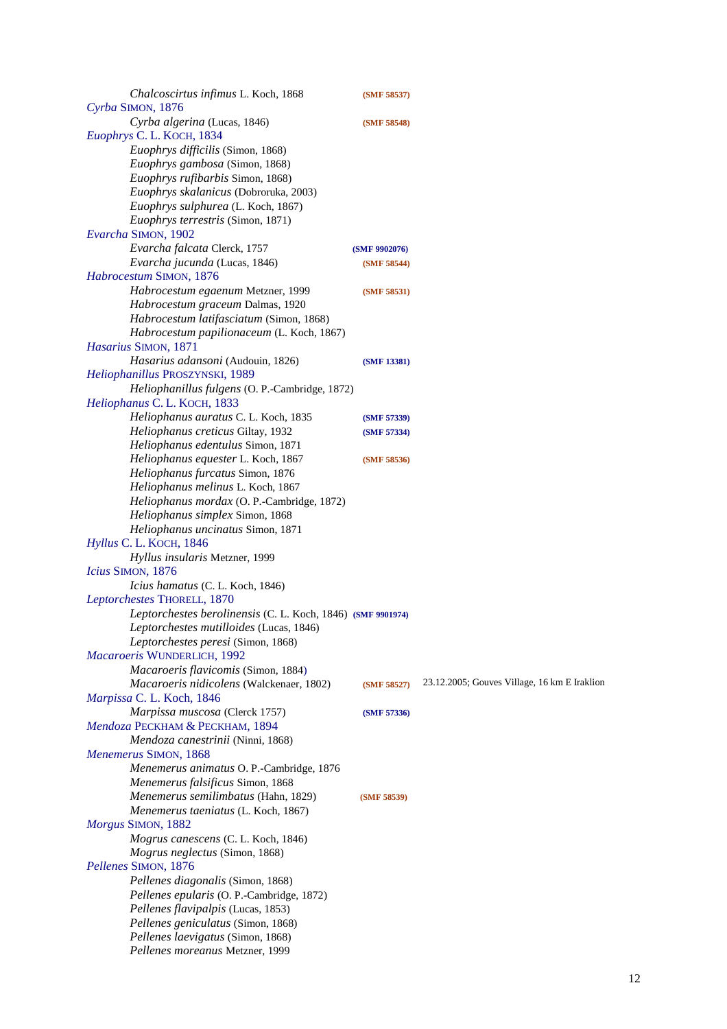| Chalcoscirtus infimus L. Koch, 1868                         | (SMF 58537)   |                                              |
|-------------------------------------------------------------|---------------|----------------------------------------------|
| Cyrba SIMON, 1876                                           |               |                                              |
| Cyrba algerina (Lucas, 1846)                                | (SMF 58548)   |                                              |
| Euophrys C. L. KOCH, 1834                                   |               |                                              |
| Euophrys difficilis (Simon, 1868)                           |               |                                              |
| Euophrys gambosa (Simon, 1868)                              |               |                                              |
| Euophrys rufibarbis Simon, 1868)                            |               |                                              |
| Euophrys skalanicus (Dobroruka, 2003)                       |               |                                              |
| Euophrys sulphurea (L. Koch, 1867)                          |               |                                              |
| Euophrys terrestris (Simon, 1871)                           |               |                                              |
| Evarcha SIMON, 1902                                         |               |                                              |
| Evarcha falcata Clerck, 1757                                | (SMF 9902076) |                                              |
| Evarcha jucunda (Lucas, 1846)                               | (SMF 58544)   |                                              |
| Habrocestum SIMON, 1876                                     |               |                                              |
| Habrocestum egaenum Metzner, 1999                           | (SMF 58531)   |                                              |
| Habrocestum graceum Dalmas, 1920                            |               |                                              |
| Habrocestum latifasciatum (Simon, 1868)                     |               |                                              |
| Habrocestum papilionaceum (L. Koch, 1867)                   |               |                                              |
| Hasarius SIMON, 1871                                        |               |                                              |
| Hasarius adansoni (Audouin, 1826)                           | (SMF 13381)   |                                              |
| Heliophanillus PROSZYNSKI, 1989                             |               |                                              |
| Heliophanillus fulgens (O. P.-Cambridge, 1872)              |               |                                              |
| Heliophanus C.L. KOCH, 1833                                 |               |                                              |
|                                                             |               |                                              |
| Heliophanus auratus C. L. Koch, 1835                        | (SMF 57339)   |                                              |
| Heliophanus creticus Giltay, 1932                           | (SMF 57334)   |                                              |
| Heliophanus edentulus Simon, 1871                           |               |                                              |
| Heliophanus equester L. Koch, 1867                          | (SMF 58536)   |                                              |
| Heliophanus furcatus Simon, 1876                            |               |                                              |
| Heliophanus melinus L. Koch, 1867                           |               |                                              |
| Heliophanus mordax (O. P.-Cambridge, 1872)                  |               |                                              |
| Heliophanus simplex Simon, 1868                             |               |                                              |
| Heliophanus uncinatus Simon, 1871                           |               |                                              |
| Hyllus C. L. KOCH, 1846                                     |               |                                              |
| Hyllus insularis Metzner, 1999                              |               |                                              |
| Icius SIMON, 1876                                           |               |                                              |
| Icius hamatus (C. L. Koch, 1846)                            |               |                                              |
| Leptorchestes THORELL, 1870                                 |               |                                              |
| Leptorchestes berolinensis (C. L. Koch, 1846) (SMF 9901974) |               |                                              |
| Leptorchestes mutilloides (Lucas, 1846)                     |               |                                              |
| Leptorchestes peresi (Simon, 1868)                          |               |                                              |
| Macaroeris WUNDERLICH, 1992                                 |               |                                              |
| Macaroeris flavicomis (Simon, 1884)                         |               |                                              |
| Macaroeris nidicolens (Walckenaer, 1802)                    | (SMF 58527)   | 23.12.2005; Gouves Village, 16 km E Iraklion |
| Marpissa C. L. Koch, 1846                                   |               |                                              |
| Marpissa muscosa (Clerck 1757)                              | (SMF 57336)   |                                              |
| Mendoza PECKHAM & PECKHAM, 1894                             |               |                                              |
| Mendoza canestrinii (Ninni, 1868)                           |               |                                              |
| Menemerus SIMON, 1868                                       |               |                                              |
| Menemerus animatus O. P.-Cambridge, 1876                    |               |                                              |
| Menemerus falsificus Simon, 1868                            |               |                                              |
| Menemerus semilimbatus (Hahn, 1829)                         | (SMF 58539)   |                                              |
| Menemerus taeniatus (L. Koch, 1867)                         |               |                                              |
| Morgus SIMON, 1882                                          |               |                                              |
| Mogrus canescens (C. L. Koch, 1846)                         |               |                                              |
| Mogrus neglectus (Simon, 1868)                              |               |                                              |
| Pellenes SIMON, 1876                                        |               |                                              |
| Pellenes diagonalis (Simon, 1868)                           |               |                                              |
|                                                             |               |                                              |
| Pellenes epularis (O. P.-Cambridge, 1872)                   |               |                                              |
| Pellenes flavipalpis (Lucas, 1853)                          |               |                                              |
| Pellenes geniculatus (Simon, 1868)                          |               |                                              |
| Pellenes laevigatus (Simon, 1868)                           |               |                                              |
| Pellenes moreanus Metzner, 1999                             |               |                                              |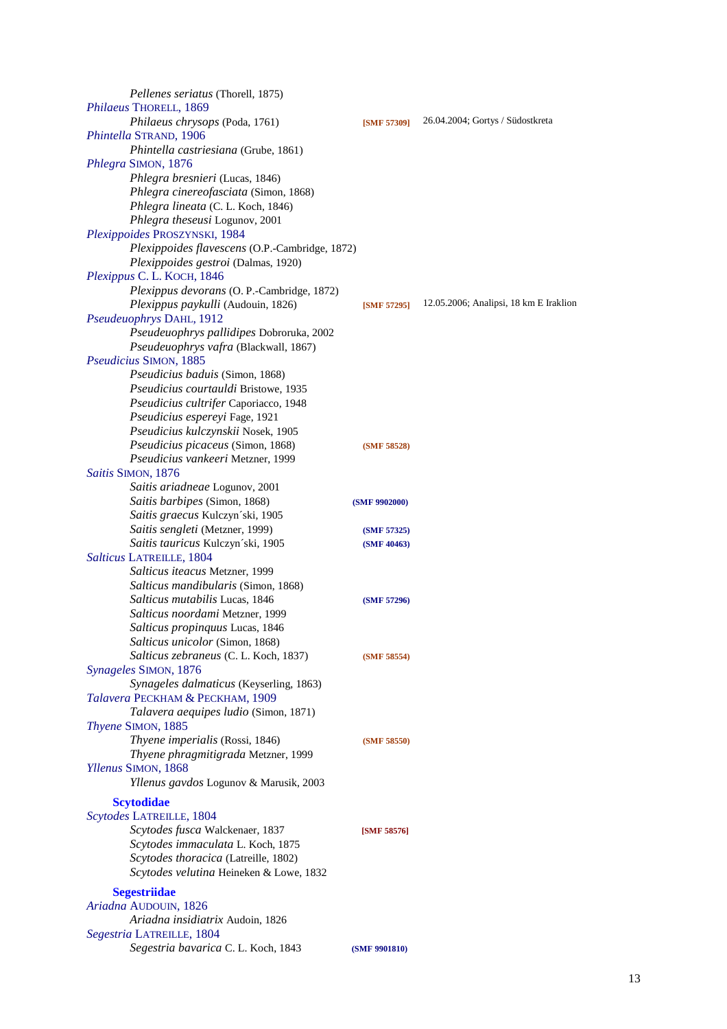| <i>Pellenes seriatus</i> (Thorell, 1875)       |                    |                                        |
|------------------------------------------------|--------------------|----------------------------------------|
| Philaeus THORELL, 1869                         |                    |                                        |
| Philaeus chrysops (Poda, 1761)                 | <b>[SMF 57309]</b> | 26.04.2004; Gortys / Südostkreta       |
| Phintella STRAND, 1906                         |                    |                                        |
| Phintella castriesiana (Grube, 1861)           |                    |                                        |
| Phlegra SIMON, 1876                            |                    |                                        |
| Phlegra bresnieri (Lucas, 1846)                |                    |                                        |
| Phlegra cinereofasciata (Simon, 1868)          |                    |                                        |
| Phlegra lineata (C. L. Koch, 1846)             |                    |                                        |
| Phlegra theseusi Logunov, 2001                 |                    |                                        |
| Plexippoides PROSZYNSKI, 1984                  |                    |                                        |
| Plexippoides flavescens (O.P.-Cambridge, 1872) |                    |                                        |
| Plexippoides gestroi (Dalmas, 1920)            |                    |                                        |
| Plexippus C. L. KOCH, 1846                     |                    |                                        |
|                                                |                    |                                        |
| Plexippus devorans (O. P.-Cambridge, 1872)     |                    | 12.05.2006; Analipsi, 18 km E Iraklion |
| Plexippus paykulli (Audouin, 1826)             | [SMF 57295]        |                                        |
| Pseudeuophrys DAHL, 1912                       |                    |                                        |
| Pseudeuophrys pallidipes Dobroruka, 2002       |                    |                                        |
| Pseudeuophrys vafra (Blackwall, 1867)          |                    |                                        |
| Pseudicius SIMON, 1885                         |                    |                                        |
| Pseudicius baduis (Simon, 1868)                |                    |                                        |
| Pseudicius courtauldi Bristowe, 1935           |                    |                                        |
| Pseudicius cultrifer Caporiacco, 1948          |                    |                                        |
| Pseudicius espereyi Fage, 1921                 |                    |                                        |
| Pseudicius kulczynskii Nosek, 1905             |                    |                                        |
| Pseudicius picaceus (Simon, 1868)              | (SMF 58528)        |                                        |
| Pseudicius vankeeri Metzner, 1999              |                    |                                        |
| Saitis SIMON, 1876                             |                    |                                        |
| Saitis ariadneae Logunov, 2001                 |                    |                                        |
| Saitis barbipes (Simon, 1868)                  | (SMF 9902000)      |                                        |
| Saitis graecus Kulczyn'ski, 1905               |                    |                                        |
| Saitis sengleti (Metzner, 1999)                | (SMF 57325)        |                                        |
| Saitis tauricus Kulczyn'ski, 1905              | (SMF 40463)        |                                        |
| Salticus LATREILLE, 1804                       |                    |                                        |
| Salticus iteacus Metzner, 1999                 |                    |                                        |
| Salticus mandibularis (Simon, 1868)            |                    |                                        |
| Salticus mutabilis Lucas, 1846                 | (SMF 57296)        |                                        |
| Salticus noordami Metzner, 1999                |                    |                                        |
| Salticus propinquus Lucas, 1846                |                    |                                        |
| Salticus unicolor (Simon, 1868)                |                    |                                        |
| Salticus zebraneus (C. L. Koch, 1837)          | (SMF 58554)        |                                        |
| Synageles SIMON, 1876                          |                    |                                        |
| Synageles dalmaticus (Keyserling, 1863)        |                    |                                        |
| Talavera PECKHAM & PECKHAM, 1909               |                    |                                        |
| Talavera aequipes ludio (Simon, 1871)          |                    |                                        |
| Thyene SIMON, 1885                             |                    |                                        |
| Thyene imperialis (Rossi, 1846)                |                    |                                        |
|                                                | (SMF 58550)        |                                        |
| Thyene phragmitigrada Metzner, 1999            |                    |                                        |
| Yllenus SIMON, 1868                            |                    |                                        |
| Yllenus gavdos Logunov & Marusik, 2003         |                    |                                        |
| <b>Scytodidae</b>                              |                    |                                        |
| Scytodes LATREILLE, 1804                       |                    |                                        |
| Scytodes fusca Walckenaer, 1837                | [SMF 58576]        |                                        |
| Scytodes immaculata L. Koch, 1875              |                    |                                        |
| Scytodes thoracica (Latreille, 1802)           |                    |                                        |
| Scytodes velutina Heineken & Lowe, 1832        |                    |                                        |
| <b>Segestriidae</b>                            |                    |                                        |
| Ariadna AUDOUIN, 1826                          |                    |                                        |
| Ariadna insidiatrix Audoin, 1826               |                    |                                        |
| Segestria LATREILLE, 1804                      |                    |                                        |
| Segestria bavarica C. L. Koch, 1843            | (SMF 9901810)      |                                        |
|                                                |                    |                                        |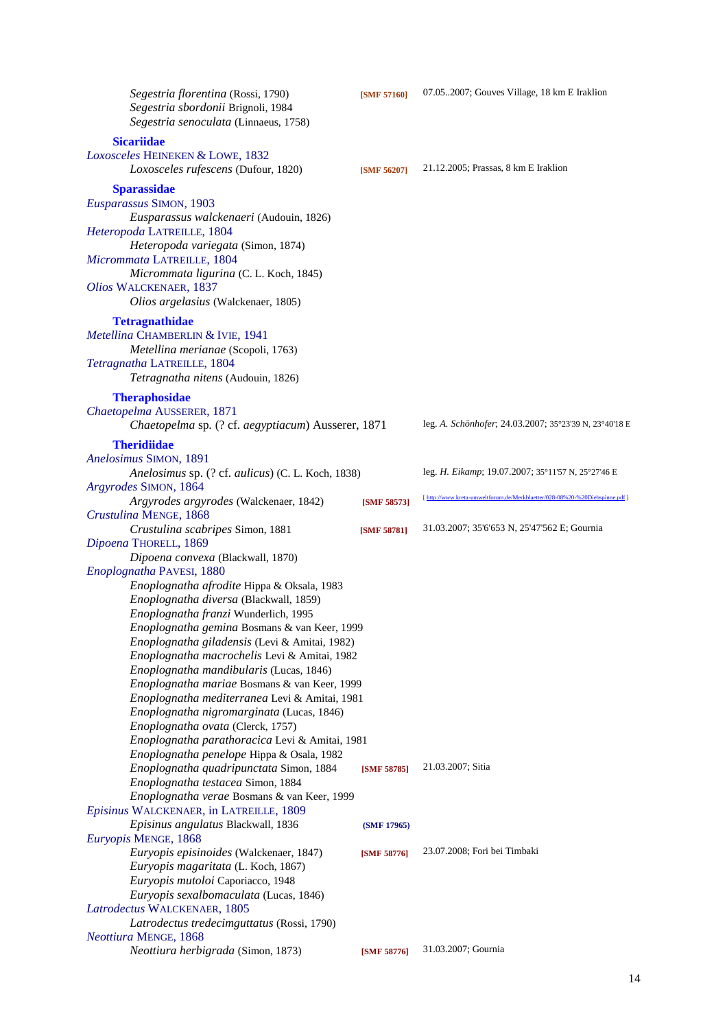| Segestria florentina (Rossi, 1790)<br>Segestria sbordonii Brignoli, 1984<br>Segestria senoculata (Linnaeus, 1758) | [SMF 57160] | 07.052007; Gouves Village, 18 km E Iraklion                                  |
|-------------------------------------------------------------------------------------------------------------------|-------------|------------------------------------------------------------------------------|
| <b>Sicariidae</b><br>Loxosceles HEINEKEN & LOWE, 1832                                                             |             |                                                                              |
| Loxosceles rufescens (Dufour, 1820)                                                                               | [SMF 56207] | 21.12.2005; Prassas, 8 km E Iraklion                                         |
| <b>Sparassidae</b><br>Eusparassus SIMON, 1903<br>Eusparassus walckenaeri (Audouin, 1826)                          |             |                                                                              |
| Heteropoda LATREILLE, 1804<br>Heteropoda variegata (Simon, 1874)                                                  |             |                                                                              |
| Micrommata LATREILLE, 1804<br>Micrommata ligurina (C. L. Koch, 1845)                                              |             |                                                                              |
| Olios WALCKENAER, 1837<br>Olios argelasius (Walckenaer, 1805)                                                     |             |                                                                              |
| <b>Tetragnathidae</b><br>Metellina CHAMBERLIN & IVIE, 1941                                                        |             |                                                                              |
| Metellina merianae (Scopoli, 1763)                                                                                |             |                                                                              |
| Tetragnatha LATREILLE, 1804<br>Tetragnatha nitens (Audouin, 1826)                                                 |             |                                                                              |
| <b>Theraphosidae</b>                                                                                              |             |                                                                              |
| Chaetopelma AUSSERER, 1871<br>Chaetopelma sp. (? cf. aegyptiacum) Ausserer, 1871                                  |             | leg. A. Schönhofer; 24.03.2007; 35°23'39 N, 23°40'18 E                       |
| <b>Theridiidae</b>                                                                                                |             |                                                                              |
| Anelosimus SIMON, 1891<br>Anelosimus sp. (? cf. aulicus) (C. L. Koch, 1838)                                       |             | leg. H. Eikamp; 19.07.2007; 35°11'57 N, 25°27'46 E                           |
| Argyrodes SIMON, 1864                                                                                             |             |                                                                              |
| Argyrodes argyrodes (Walckenaer, 1842)<br>Crustulina MENGE, 1868                                                  | [SMF 58573] | [ http://www.kreta-umweltforum.de/Merkblaetter/028-08%20-%20Diebspinne.pdf ] |
| Crustulina scabripes Simon, 1881                                                                                  | [SMF 58781] | 31.03.2007; 35'6'653 N, 25'47'562 E; Gournia                                 |
| Dipoena THORELL, 1869                                                                                             |             |                                                                              |
| Dipoena convexa (Blackwall, 1870)<br>Enoplognatha PAVESI, 1880                                                    |             |                                                                              |
| Enoplognatha afrodite Hippa & Oksala, 1983                                                                        |             |                                                                              |
| Enoplognatha diversa (Blackwall, 1859)                                                                            |             |                                                                              |
| Enoplognatha franzi Wunderlich, 1995                                                                              |             |                                                                              |
| Enoplognatha gemina Bosmans & van Keer, 1999                                                                      |             |                                                                              |
| Enoplognatha giladensis (Levi & Amitai, 1982)                                                                     |             |                                                                              |
| Enoplognatha macrochelis Levi & Amitai, 1982<br>Enoplognatha mandibularis (Lucas, 1846)                           |             |                                                                              |
| Enoplognatha mariae Bosmans & van Keer, 1999                                                                      |             |                                                                              |
| Enoplognatha mediterranea Levi & Amitai, 1981                                                                     |             |                                                                              |
| Enoplognatha nigromarginata (Lucas, 1846)                                                                         |             |                                                                              |
| Enoplognatha ovata (Clerck, 1757)                                                                                 |             |                                                                              |
| Enoplognatha parathoracica Levi & Amitai, 1981                                                                    |             |                                                                              |
| Enoplognatha penelope Hippa & Osala, 1982                                                                         |             |                                                                              |
| Enoplognatha quadripunctata Simon, 1884                                                                           | [SMF 58785] | 21.03.2007; Sitia                                                            |
| Enoplognatha testacea Simon, 1884                                                                                 |             |                                                                              |
| Enoplognatha verae Bosmans & van Keer, 1999<br>Episinus WALCKENAER, in LATREILLE, 1809                            |             |                                                                              |
| Episinus angulatus Blackwall, 1836                                                                                | (SMF 17965) |                                                                              |
| Euryopis MENGE, 1868                                                                                              |             |                                                                              |
| Euryopis episinoides (Walckenaer, 1847)                                                                           | [SMF 58776] | 23.07.2008; Fori bei Timbaki                                                 |
| Euryopis magaritata (L. Koch, 1867)                                                                               |             |                                                                              |
| Euryopis mutoloi Caporiacco, 1948                                                                                 |             |                                                                              |
| Euryopis sexalbomaculata (Lucas, 1846)                                                                            |             |                                                                              |
| Latrodectus WALCKENAER, 1805<br>Latrodectus tredecimguttatus (Rossi, 1790)                                        |             |                                                                              |
| Neottiura MENGE, 1868                                                                                             |             |                                                                              |
| Neottiura herbigrada (Simon, 1873)                                                                                | [SMF 58776] | 31.03.2007; Gournia                                                          |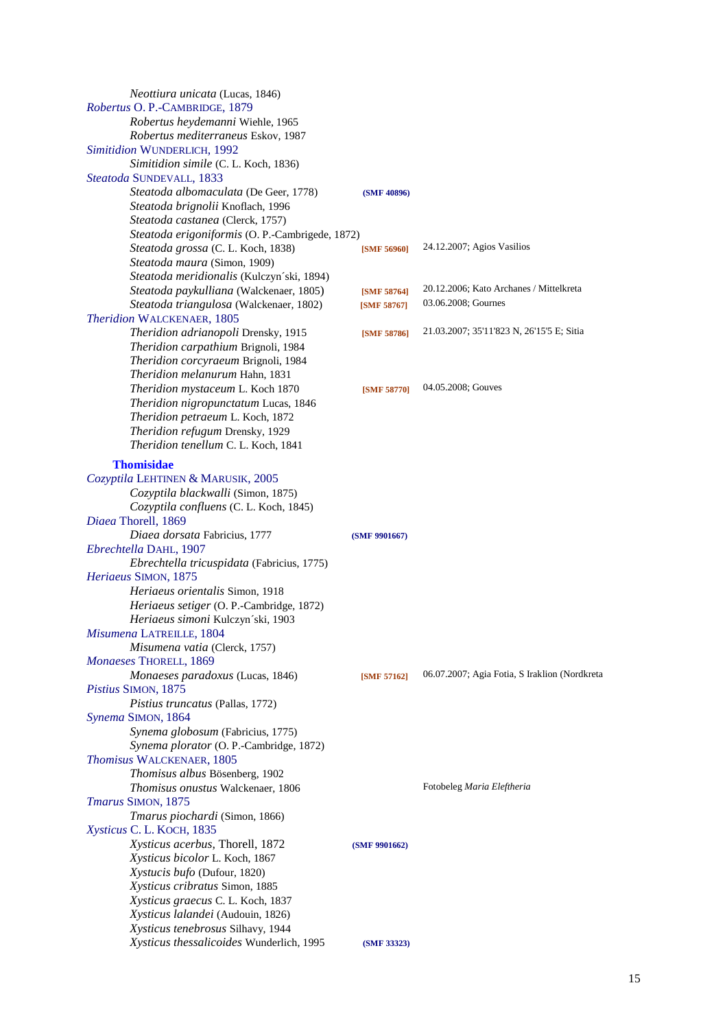| <i>Neottiura unicata</i> (Lucas, 1846)          |                    |                                               |
|-------------------------------------------------|--------------------|-----------------------------------------------|
| Robertus O. P.-CAMBRIDGE, 1879                  |                    |                                               |
| Robertus heydemanni Wiehle, 1965                |                    |                                               |
| Robertus mediterraneus Eskov, 1987              |                    |                                               |
| Simitidion WUNDERLICH, 1992                     |                    |                                               |
| Simitidion simile (C. L. Koch, 1836)            |                    |                                               |
| Steatoda SUNDEVALL, 1833                        |                    |                                               |
| Steatoda albomaculata (De Geer, 1778)           | (SMF 40896)        |                                               |
| Steatoda brignolii Knoflach, 1996               |                    |                                               |
| Steatoda castanea (Clerck, 1757)                |                    |                                               |
| Steatoda erigoniformis (O. P.-Cambrigede, 1872) |                    |                                               |
| Steatoda grossa (C. L. Koch, 1838)              | <b>[SMF 56960]</b> | 24.12.2007; Agios Vasilios                    |
| Steatoda maura (Simon, 1909)                    |                    |                                               |
| Steatoda meridionalis (Kulczyn'ski, 1894)       |                    |                                               |
|                                                 |                    | 20.12.2006; Kato Archanes / Mittelkreta       |
| Steatoda paykulliana (Walckenaer, 1805)         | [SMF 58764]        | 03.06.2008; Gournes                           |
| Steatoda triangulosa (Walckenaer, 1802)         | [SMF 58767]        |                                               |
| Theridion WALCKENAER, 1805                      |                    |                                               |
| Theridion adrianopoli Drensky, 1915             | [SMF 58786]        | 21.03.2007; 35'11'823 N, 26'15'5 E; Sitia     |
| Theridion carpathium Brignoli, 1984             |                    |                                               |
| Theridion corcyraeum Brignoli, 1984             |                    |                                               |
| Theridion melanurum Hahn, 1831                  |                    |                                               |
| Theridion mystaceum L. Koch 1870                | <b>[SMF 58770]</b> | 04.05.2008; Gouves                            |
| Theridion nigropunctatum Lucas, 1846            |                    |                                               |
| Theridion petraeum L. Koch, 1872                |                    |                                               |
| Theridion refugum Drensky, 1929                 |                    |                                               |
| Theridion tenellum C. L. Koch, 1841             |                    |                                               |
| <b>Thomisidae</b>                               |                    |                                               |
| Cozyptila LEHTINEN & MARUSIK, 2005              |                    |                                               |
| Cozyptila blackwalli (Simon, 1875)              |                    |                                               |
| Cozyptila confluens (C. L. Koch, 1845)          |                    |                                               |
| Diaea Thorell, 1869                             |                    |                                               |
| Diaea dorsata Fabricius, 1777                   |                    |                                               |
| Ebrechtella DAHL, 1907                          | (SMF 9901667)      |                                               |
|                                                 |                    |                                               |
| Ebrechtella tricuspidata (Fabricius, 1775)      |                    |                                               |
| Heriaeus SIMON, 1875                            |                    |                                               |
| Heriaeus orientalis Simon, 1918                 |                    |                                               |
| Heriaeus setiger (O. P.-Cambridge, 1872)        |                    |                                               |
| Heriaeus simoni Kulczyn'ski, 1903               |                    |                                               |
| Misumena LATREILLE, 1804                        |                    |                                               |
| Misumena vatia (Clerck, 1757)                   |                    |                                               |
| Monaeses THORELL, 1869                          |                    |                                               |
| Monaeses paradoxus (Lucas, 1846)                | [SMF 57162]        | 06.07.2007; Agia Fotia, S Iraklion (Nordkreta |
| Pistius SIMON, 1875                             |                    |                                               |
| Pistius truncatus (Pallas, 1772)                |                    |                                               |
| Synema SIMON, 1864                              |                    |                                               |
| Synema globosum (Fabricius, 1775)               |                    |                                               |
| Synema plorator (O. P.-Cambridge, 1872)         |                    |                                               |
| Thomisus WALCKENAER, 1805                       |                    |                                               |
| Thomisus albus Bösenberg, 1902                  |                    |                                               |
| Thomisus onustus Walckenaer, 1806               |                    | Fotobeleg Maria Eleftheria                    |
| Tmarus SIMON, 1875                              |                    |                                               |
| Tmarus piochardi (Simon, 1866)                  |                    |                                               |
| Xysticus C. L. KOCH, 1835                       |                    |                                               |
| Xysticus acerbus, Thorell, 1872                 | (SMF 9901662)      |                                               |
| Xysticus bicolor L. Koch, 1867                  |                    |                                               |
| Xystucis bufo (Dufour, 1820)                    |                    |                                               |
| Xysticus cribratus Simon, 1885                  |                    |                                               |
| Xysticus graecus C. L. Koch, 1837               |                    |                                               |
| Xysticus lalandei (Audouin, 1826)               |                    |                                               |
| Xysticus tenebrosus Silhavy, 1944               |                    |                                               |
| Xysticus thessalicoides Wunderlich, 1995        | (SMF 33323)        |                                               |
|                                                 |                    |                                               |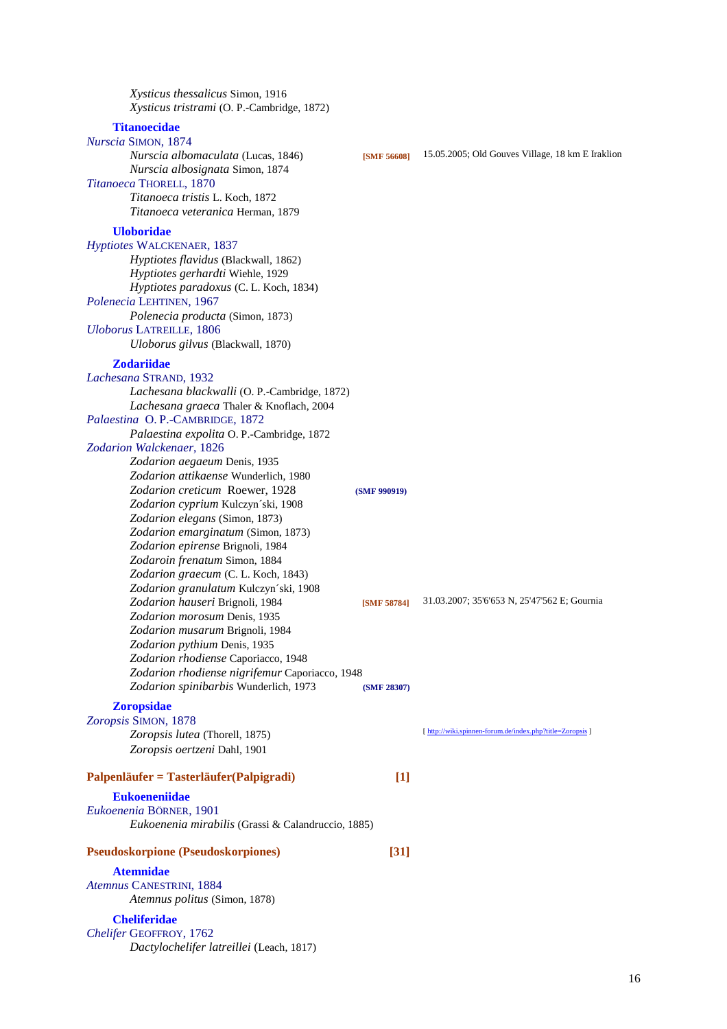| Xysticus thessalicus Simon, 1916<br>Xysticus tristrami (O. P.-Cambridge, 1872)                                                                                                                                                                                                                                |                    |                                                           |
|---------------------------------------------------------------------------------------------------------------------------------------------------------------------------------------------------------------------------------------------------------------------------------------------------------------|--------------------|-----------------------------------------------------------|
| <b>Titanoecidae</b><br>Nurscia SIMON, 1874<br>Nurscia albomaculata (Lucas, 1846)<br>Nurscia albosignata Simon, 1874<br>Titanoeca THORELL, 1870<br>Titanoeca tristis L. Koch, 1872                                                                                                                             | <b>[SMF 56608]</b> | 15.05.2005; Old Gouves Village, 18 km E Iraklion          |
| Titanoeca veteranica Herman, 1879                                                                                                                                                                                                                                                                             |                    |                                                           |
| <b>Uloboridae</b><br>Hyptiotes WALCKENAER, 1837<br>Hyptiotes flavidus (Blackwall, 1862)<br>Hyptiotes gerhardti Wiehle, 1929<br>Hyptiotes paradoxus (C. L. Koch, 1834)<br>Polenecia LEHTINEN, 1967<br>Polenecia producta (Simon, 1873)<br><b>Uloborus LATREILLE, 1806</b><br>Uloborus gilvus (Blackwall, 1870) |                    |                                                           |
| <b>Zodariidae</b>                                                                                                                                                                                                                                                                                             |                    |                                                           |
| Lachesana STRAND, 1932<br>Lachesana blackwalli (O. P.-Cambridge, 1872)<br>Lachesana graeca Thaler & Knoflach, 2004                                                                                                                                                                                            |                    |                                                           |
| Palaestina O.P.-CAMBRIDGE, 1872<br>Palaestina expolita O.P.-Cambridge, 1872<br>Zodarion Walckenaer, 1826                                                                                                                                                                                                      |                    |                                                           |
| Zodarion aegaeum Denis, 1935<br>Zodarion attikaense Wunderlich, 1980<br>Zodarion creticum Roewer, 1928<br>Zodarion cyprium Kulczyn'ski, 1908<br>Zodarion elegans (Simon, 1873)                                                                                                                                | (SMF 990919)       |                                                           |
| Zodarion emarginatum (Simon, 1873)<br>Zodarion epirense Brignoli, 1984<br>Zodaroin frenatum Simon, 1884<br>Zodarion graecum (C. L. Koch, 1843)<br>Zodarion granulatum Kulczyn'ski, 1908                                                                                                                       |                    |                                                           |
| Zodarion hauseri Brignoli, 1984<br>Zodarion morosum Denis, 1935<br>Zodarion musarum Brignoli, 1984<br>Zodarion pythium Denis, 1935<br>Zodarion rhodiense Caporiacco, 1948                                                                                                                                     | [SMF 58784]        | 31.03.2007; 35'6'653 N, 25'47'562 E; Gournia              |
| Zodarion rhodiense nigrifemur Caporiacco, 1948<br>Zodarion spinibarbis Wunderlich, 1973                                                                                                                                                                                                                       | (SMF 28307)        |                                                           |
| <b>Zoropsidae</b><br>Zoropsis SIMON, 1878                                                                                                                                                                                                                                                                     |                    |                                                           |
| Zoropsis lutea (Thorell, 1875)                                                                                                                                                                                                                                                                                |                    | [ http://wiki.spinnen-forum.de/index.php?title=Zoropsis ] |
| Zoropsis oertzeni Dahl, 1901                                                                                                                                                                                                                                                                                  |                    |                                                           |
| Palpenläufer = Tasterläufer(Palpigradi)                                                                                                                                                                                                                                                                       | $[1]$              |                                                           |
| <b>Eukoeneniidae</b>                                                                                                                                                                                                                                                                                          |                    |                                                           |
| Eukoenenia BÖRNER, 1901<br>Eukoenenia mirabilis (Grassi & Calandruccio, 1885)                                                                                                                                                                                                                                 |                    |                                                           |
| <b>Pseudoskorpione (Pseudoskorpiones)</b>                                                                                                                                                                                                                                                                     | $\left[31\right]$  |                                                           |
| <b>Atemnidae</b>                                                                                                                                                                                                                                                                                              |                    |                                                           |
| Atemnus CANESTRINI, 1884<br>Atemnus politus (Simon, 1878)                                                                                                                                                                                                                                                     |                    |                                                           |
| <b>Cheliferidae</b><br>Chelifer GEOFFROY, 1762<br>Dactylochelifer latreillei (Leach, 1817)                                                                                                                                                                                                                    |                    |                                                           |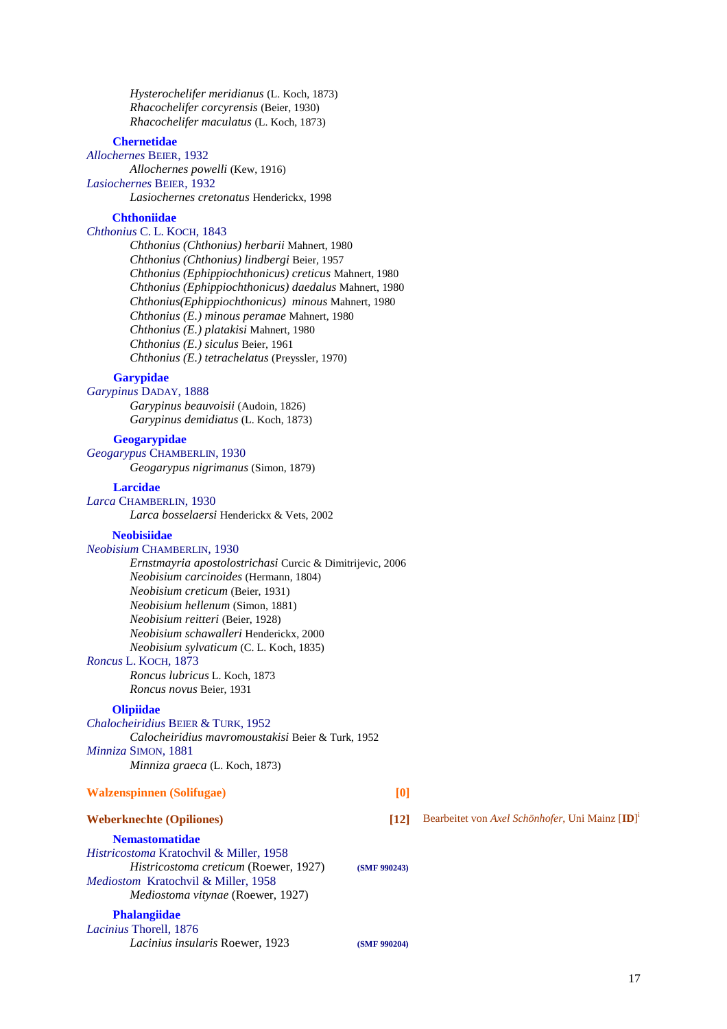*Hysterochelifer meridianus* (L. Koch, 1873)  *Rhacochelifer corcyrensis* (Beier, 1930)  *Rhacochelifer maculatus* (L. Koch, 1873)

# **Chernetidae**

*Allochernes* BEIER, 1932

 *Allochernes powelli* (Kew, 1916)

*Lasiochernes* BEIER, 1932

 *Lasiochernes cretonatus* Henderickx, 1998

## **Chthoniidae**

*Chthonius* C. L. KOCH, 1843

 *Chthonius (Chthonius) herbarii* Mahnert, 1980 *Chthonius (Chthonius) lindbergi* Beier, 1957  *Chthonius (Ephippiochthonicus) creticus* Mahnert, 1980 *Chthonius (Ephippiochthonicus) daedalus* Mahnert, 1980  *Chthonius(Ephippiochthonicus) minous* Mahnert, 1980  *Chthonius (E.) minous peramae* Mahnert, 1980  *Chthonius (E.) platakisi* Mahnert, 1980  *Chthonius (E.) siculus* Beier, 1961  *Chthonius (E.) tetrachelatus* (Preyssler, 1970)

#### **Garypidae**

*Garypinus* DADAY, 1888  *Garypinus beauvoisii* (Audoin, 1826)  *Garypinus demidiatus* (L. Koch, 1873)

# **Geogarypidae**

*Geogarypus* CHAMBERLIN, 1930  *Geogarypus nigrimanus* (Simon, 1879)

## **Larcidae**

*Larca* CHAMBERLIN, 1930  *Larca bosselaersi* Henderickx & Vets, 2002

#### **Neobisiidae**

*Neobisium* CHAMBERLIN, 1930

 *Ernstmayria apostolostrichasi* Curcic & Dimitrijevic, 2006  *Neobisium carcinoides* (Hermann, 1804)  *Neobisium creticum* (Beier, 1931)  *Neobisium hellenum* (Simon, 1881)  *Neobisium reitteri* (Beier, 1928)  *Neobisium schawalleri* Henderickx, 2000  *Neobisium sylvaticum* (C. L. Koch, 1835) *Roncus* L. KOCH, 1873

 *Roncus lubricus* L. Koch, 1873  *Roncus novus* Beier, 1931

### **Olipiidae**

*Chalocheiridius* BEIER & TURK, 1952  *Calocheiridius mavromoustakisi* Beier & Turk, 1952 *Minniza* SIMON, 1881  *Minniza graeca* (L. Koch, 1873)

## **Walzenspinnen (Solifugae) [0]**

# **Weberknechte (Opiliones) [12]** Bearbeitet von *Axel Schönhofer*, Uni Mainz [**ID**] i

### **Nemastomatidae**

*Histricostoma* Kratochvil & Miller, 1958  *Histricostoma creticum* (Roewer, 1927) **(SMF 990243)** *Mediostom* Kratochvil & Miller, 1958  *Mediostoma vitynae* (Roewer, 1927)

**Phalangiidae** *Lacinius* Thorell, 1876

 *Lacinius insularis* Roewer, 1923 **(SMF 990204)**